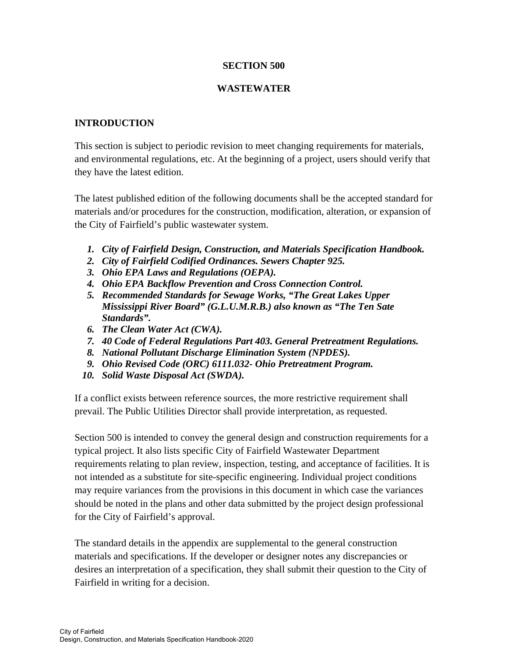# **SECTION 500**

## **WASTEWATER**

# **INTRODUCTION**

This section is subject to periodic revision to meet changing requirements for materials, and environmental regulations, etc. At the beginning of a project, users should verify that they have the latest edition.

The latest published edition of the following documents shall be the accepted standard for materials and/or procedures for the construction, modification, alteration, or expansion of the City of Fairfield's public wastewater system.

- *1. City of Fairfield Design, Construction, and Materials Specification Handbook.*
- *2. City of Fairfield Codified Ordinances. Sewers Chapter 925.*
- *3. Ohio EPA Laws and Regulations (OEPA).*
- *4. Ohio EPA Backflow Prevention and Cross Connection Control.*
- *5. Recommended Standards for Sewage Works, "The Great Lakes Upper Mississippi River Board" (G.L.U.M.R.B.) also known as "The Ten Sate Standards".*
- *6. The Clean Water Act (CWA).*
- *7. 40 Code of Federal Regulations Part 403. General Pretreatment Regulations.*
- *8. National Pollutant Discharge Elimination System (NPDES).*
- *9. Ohio Revised Code (ORC) 6111.032- Ohio Pretreatment Program.*
- *10. Solid Waste Disposal Act (SWDA).*

If a conflict exists between reference sources, the more restrictive requirement shall prevail. The Public Utilities Director shall provide interpretation, as requested.

Section 500 is intended to convey the general design and construction requirements for a typical project. It also lists specific City of Fairfield Wastewater Department requirements relating to plan review, inspection, testing, and acceptance of facilities. It is not intended as a substitute for site-specific engineering. Individual project conditions may require variances from the provisions in this document in which case the variances should be noted in the plans and other data submitted by the project design professional for the City of Fairfield's approval.

The standard details in the appendix are supplemental to the general construction materials and specifications. If the developer or designer notes any discrepancies or desires an interpretation of a specification, they shall submit their question to the City of Fairfield in writing for a decision.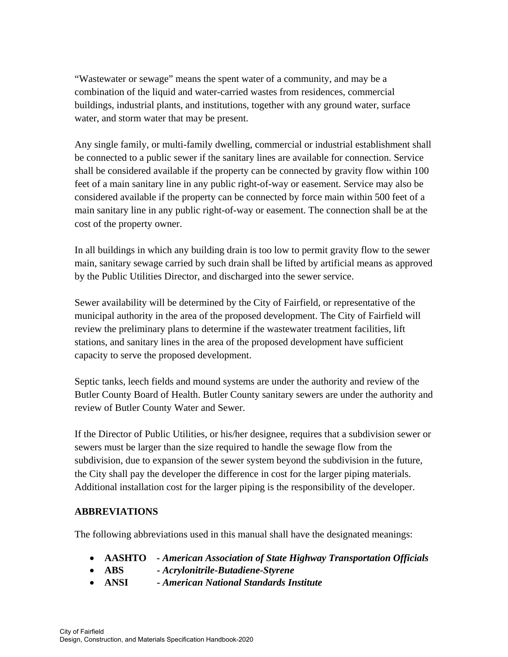"Wastewater or sewage" means the spent water of a community, and may be a combination of the liquid and water-carried wastes from residences, commercial buildings, industrial plants, and institutions, together with any ground water, surface water, and storm water that may be present.

Any single family, or multi-family dwelling, commercial or industrial establishment shall be connected to a public sewer if the sanitary lines are available for connection. Service shall be considered available if the property can be connected by gravity flow within 100 feet of a main sanitary line in any public right-of-way or easement. Service may also be considered available if the property can be connected by force main within 500 feet of a main sanitary line in any public right-of-way or easement. The connection shall be at the cost of the property owner.

In all buildings in which any building drain is too low to permit gravity flow to the sewer main, sanitary sewage carried by such drain shall be lifted by artificial means as approved by the Public Utilities Director, and discharged into the sewer service.

Sewer availability will be determined by the City of Fairfield, or representative of the municipal authority in the area of the proposed development. The City of Fairfield will review the preliminary plans to determine if the wastewater treatment facilities, lift stations, and sanitary lines in the area of the proposed development have sufficient capacity to serve the proposed development.

Septic tanks, leech fields and mound systems are under the authority and review of the Butler County Board of Health. Butler County sanitary sewers are under the authority and review of Butler County Water and Sewer.

If the Director of Public Utilities, or his/her designee, requires that a subdivision sewer or sewers must be larger than the size required to handle the sewage flow from the subdivision, due to expansion of the sewer system beyond the subdivision in the future, the City shall pay the developer the difference in cost for the larger piping materials. Additional installation cost for the larger piping is the responsibility of the developer.

# **ABBREVIATIONS**

The following abbreviations used in this manual shall have the designated meanings:

- **AASHTO**  *American Association of State Highway Transportation Officials*
- **ABS** *Acrylonitrile-Butadiene-Styrene*
- **ANSI** *American National Standards Institute*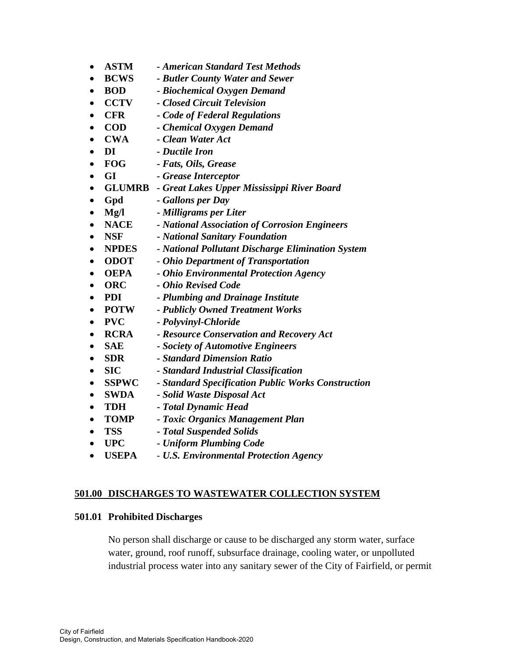- **ASTM -** *American Standard Test Methods*
- **BCWS -** *Butler County Water and Sewer*
- **BOD** *Biochemical Oxygen Demand*
- **CCTV -** *Closed Circuit Television*
- **CFR -** *Code of Federal Regulations*
- **COD -** *Chemical Oxygen Demand*
- **CWA -** *Clean Water Act*
- **DI -** *Ductile Iron*
- **FOG** *Fats, Oils, Grease*
- **GI** *Grease Interceptor*
- **GLUMRB -** *Great Lakes Upper Mississippi River Board*
- **Gpd** *Gallons per Day*
- **Mg/l** *Milligrams per Liter*
- **NACE -** *National Association of Corrosion Engineers*
- **NSF** *National Sanitary Foundation*
- **NPDES** *National Pollutant Discharge Elimination System*
- **ODOT** - *Ohio Department of Transportation*
- **OEPA** *Ohio Environmental Protection Agency*
- **ORC** *Ohio Revised Code*
- **PDI** *Plumbing and Drainage Institute*
- **POTW** *Publicly Owned Treatment Works*
- **PVC** *Polyvinyl-Chloride*
- **RCRA** *Resource Conservation and Recovery Act*
- **SAE** *Society of Automotive Engineers*
- **SDR** *Standard Dimension Ratio*
- **SIC** *Standard Industrial Classification*
- **SSPWC** *Standard Specification Public Works Construction*
- **SWDA** *Solid Waste Disposal Act*
- **TDH** *Total Dynamic Head*
- **TOMP** *Toxic Organics Management Plan*
- **TSS** *Total Suspended Solids*
- **UPC** *Uniform Plumbing Code*
- **USEPA** *U.S. Environmental Protection Agency*

## **501.00 DISCHARGES TO WASTEWATER COLLECTION SYSTEM**

#### **501.01 Prohibited Discharges**

No person shall discharge or cause to be discharged any storm water, surface water, ground, roof runoff, subsurface drainage, cooling water, or unpolluted industrial process water into any sanitary sewer of the City of Fairfield, or permit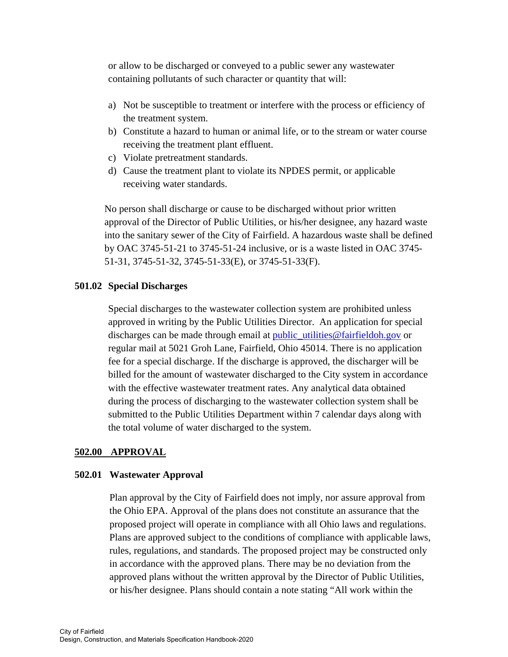or allow to be discharged or conveyed to a public sewer any wastewater containing pollutants of such character or quantity that will:

- a) Not be susceptible to treatment or interfere with the process or efficiency of the treatment system.
- b) Constitute a hazard to human or animal life, or to the stream or water course receiving the treatment plant effluent.
- c) Violate pretreatment standards.
- d) Cause the treatment plant to violate its NPDES permit, or applicable receiving water standards.

No person shall discharge or cause to be discharged without prior written approval of the Director of Public Utilities, or his/her designee, any hazard waste into the sanitary sewer of the City of Fairfield. A hazardous waste shall be defined by OAC 3745-51-21 to 3745-51-24 inclusive, or is a waste listed in OAC 3745- 51-31, 3745-51-32, 3745-51-33(E), or 3745-51-33(F).

#### **501.02 Special Discharges**

Special discharges to the wastewater collection system are prohibited unless approved in writing by the Public Utilities Director. An application for special discharges can be made through email at public\_utilities@fairfieldoh.gov or regular mail at 5021 Groh Lane, Fairfield, Ohio 45014. There is no application fee for a special discharge. If the discharge is approved, the discharger will be billed for the amount of wastewater discharged to the City system in accordance with the effective wastewater treatment rates. Any analytical data obtained during the process of discharging to the wastewater collection system shall be submitted to the Public Utilities Department within 7 calendar days along with the total volume of water discharged to the system.

#### **502.00 APPROVAL**

#### **502.01****Wastewater Approval**

Plan approval by the City of Fairfield does not imply, nor assure approval from the Ohio EPA. Approval of the plans does not constitute an assurance that the proposed project will operate in compliance with all Ohio laws and regulations. Plans are approved subject to the conditions of compliance with applicable laws, rules, regulations, and standards. The proposed project may be constructed only in accordance with the approved plans. There may be no deviation from the approved plans without the written approval by the Director of Public Utilities, or his/her designee. Plans should contain a note stating "All work within the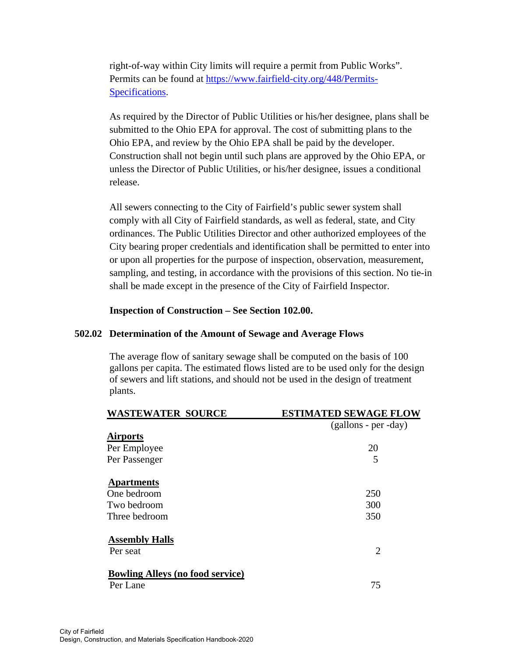right-of-way within City limits will require a permit from Public Works". Permits can be found at https://www.fairfield-city.org/448/Permits-Specifications.

As required by the Director of Public Utilities or his/her designee, plans shall be submitted to the Ohio EPA for approval. The cost of submitting plans to the Ohio EPA, and review by the Ohio EPA shall be paid by the developer. Construction shall not begin until such plans are approved by the Ohio EPA, or unless the Director of Public Utilities, or his/her designee, issues a conditional release.

All sewers connecting to the City of Fairfield's public sewer system shall comply with all City of Fairfield standards, as well as federal, state, and City ordinances. The Public Utilities Director and other authorized employees of the City bearing proper credentials and identification shall be permitted to enter into or upon all properties for the purpose of inspection, observation, measurement, sampling, and testing, in accordance with the provisions of this section. No tie-in shall be made except in the presence of the City of Fairfield Inspector.

#### **Inspection of Construction – See Section 102.00.**

#### **502.02 Determination of the Amount of Sewage and Average Flows**

The average flow of sanitary sewage shall be computed on the basis of 100 gallons per capita. The estimated flows listed are to be used only for the design of sewers and lift stations, and should not be used in the design of treatment plants.

| <b>WASTEWATER SOURCE</b>                | <b>ESTIMATED SEWAGE FLOW</b> |
|-----------------------------------------|------------------------------|
|                                         | $(gallons - per - day)$      |
| <b>Airports</b>                         |                              |
| Per Employee                            | 20                           |
| Per Passenger                           | 5                            |
| <b>Apartments</b>                       |                              |
| One bedroom                             | 250                          |
| Two bedroom                             | 300                          |
| Three bedroom                           | 350                          |
| <b>Assembly Halls</b>                   |                              |
| Per seat                                | 2                            |
| <b>Bowling Alleys (no food service)</b> |                              |
| Per Lane                                | 75                           |
|                                         |                              |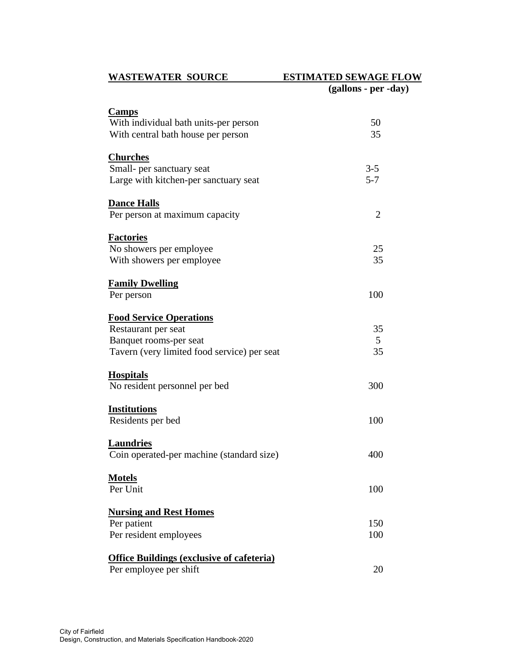# **WASTEWATER SOURCE ESTIMATED SEWAGE FLOW**

|                                                  | (gallons - per -day) |
|--------------------------------------------------|----------------------|
| <b>Camps</b>                                     |                      |
| With individual bath units-per person            | 50                   |
| With central bath house per person               | 35                   |
| <b>Churches</b>                                  |                      |
| Small- per sanctuary seat                        | $3 - 5$              |
| Large with kitchen-per sanctuary seat            | $5 - 7$              |
| <b>Dance Halls</b>                               |                      |
| Per person at maximum capacity                   | $\overline{2}$       |
| <b>Factories</b>                                 |                      |
| No showers per employee                          | 25                   |
| With showers per employee                        | 35                   |
| <b>Family Dwelling</b>                           |                      |
| Per person                                       | 100                  |
| <b>Food Service Operations</b>                   |                      |
| Restaurant per seat                              | 35                   |
| Banquet rooms-per seat                           | 5                    |
| Tavern (very limited food service) per seat      | 35                   |
| <b>Hospitals</b>                                 |                      |
| No resident personnel per bed                    | 300                  |
| <b>Institutions</b>                              |                      |
| Residents per bed                                | 100                  |
| <b>Laundries</b>                                 |                      |
| Coin operated-per machine (standard size)        | 400                  |
| <b>Motels</b>                                    |                      |
| Per Unit                                         | 100                  |
| <b>Nursing and Rest Homes</b>                    |                      |
| Per patient                                      | 150                  |
| Per resident employees                           | 100                  |
| <b>Office Buildings (exclusive of cafeteria)</b> |                      |
| Per employee per shift                           | 20                   |
|                                                  |                      |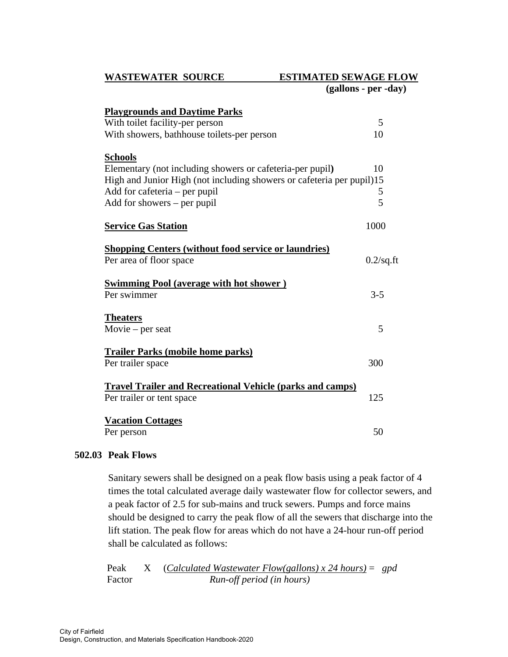#### WASTEWATER SOURCE ESTIMATED SEWAGE FLOW

 **(gallons - per -day)** 

| <b>Playgrounds and Daytime Parks</b><br>With toilet facility-per person | 5            |
|-------------------------------------------------------------------------|--------------|
| With showers, bathhouse toilets-per person                              | 10           |
| <b>Schools</b>                                                          |              |
| Elementary (not including showers or cafeteria-per pupil)               | 10           |
| High and Junior High (not including showers or cafeteria per pupil)15   |              |
| Add for cafeteria – per pupil                                           | 5            |
| Add for showers - per pupil                                             | 5            |
| <b>Service Gas Station</b>                                              | 1000         |
| <b>Shopping Centers (without food service or laundries)</b>             |              |
| Per area of floor space                                                 | $0.2$ /sq.ft |
| <b>Swimming Pool (average with hot shower)</b>                          |              |
| Per swimmer                                                             | $3 - 5$      |
| <b>Theaters</b>                                                         |              |
| Movie – per seat                                                        | 5            |
| <b>Trailer Parks (mobile home parks)</b>                                |              |
| Per trailer space                                                       | 300          |
| <b>Travel Trailer and Recreational Vehicle (parks and camps)</b>        |              |
| Per trailer or tent space                                               | 125          |
| <b>Vacation Cottages</b>                                                |              |
| Per person                                                              | 50           |

## **502.03 Peak Flows**

Sanitary sewers shall be designed on a peak flow basis using a peak factor of 4 times the total calculated average daily wastewater flow for collector sewers, and a peak factor of 2.5 for sub-mains and truck sewers. Pumps and force mains should be designed to carry the peak flow of all the sewers that discharge into the lift station. The peak flow for areas which do not have a 24-hour run-off period shall be calculated as follows:

 Peak X (*Calculated Wastewater Flow(gallons) x 24 hours)* = *gpd*  Factor *Run-off period (in hours)*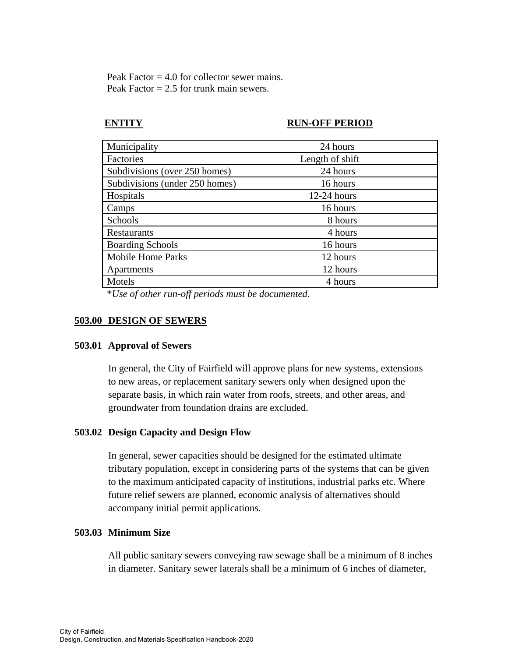Peak Factor  $= 4.0$  for collector sewer mains. Peak Factor  $= 2.5$  for trunk main sewers.

# **ENTITY RUN-OFF PERIOD**

| Municipality                   | 24 hours        |
|--------------------------------|-----------------|
| Factories                      | Length of shift |
| Subdivisions (over 250 homes)  | 24 hours        |
| Subdivisions (under 250 homes) | 16 hours        |
| Hospitals                      | $12-24$ hours   |
| Camps                          | 16 hours        |
| Schools                        | 8 hours         |
| Restaurants                    | 4 hours         |
| <b>Boarding Schools</b>        | 16 hours        |
| <b>Mobile Home Parks</b>       | 12 hours        |
| Apartments                     | 12 hours        |
| Motels                         | 4 hours         |

\**Use of other run-off periods must be documented.* 

# **503.00 DESIGN OF SEWERS**

## **503.01 Approval of Sewers**

In general, the City of Fairfield will approve plans for new systems, extensions to new areas, or replacement sanitary sewers only when designed upon the separate basis, in which rain water from roofs, streets, and other areas, and groundwater from foundation drains are excluded.

## **503.02 Design Capacity and Design Flow**

In general, sewer capacities should be designed for the estimated ultimate tributary population, except in considering parts of the systems that can be given to the maximum anticipated capacity of institutions, industrial parks etc. Where future relief sewers are planned, economic analysis of alternatives should accompany initial permit applications.

## **503.03 Minimum Size**

All public sanitary sewers conveying raw sewage shall be a minimum of 8 inches in diameter. Sanitary sewer laterals shall be a minimum of 6 inches of diameter,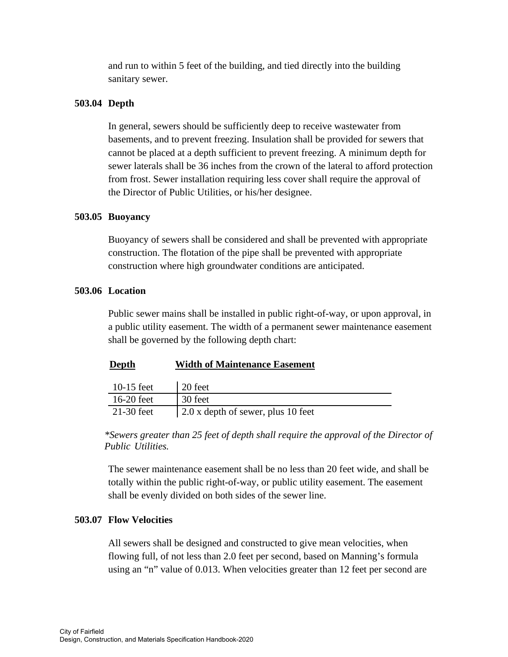and run to within 5 feet of the building, and tied directly into the building sanitary sewer.

# **503.04 Depth**

In general, sewers should be sufficiently deep to receive wastewater from basements, and to prevent freezing. Insulation shall be provided for sewers that cannot be placed at a depth sufficient to prevent freezing. A minimum depth for sewer laterals shall be 36 inches from the crown of the lateral to afford protection from frost. Sewer installation requiring less cover shall require the approval of the Director of Public Utilities, or his/her designee.

## **503.05 Buoyancy**

Buoyancy of sewers shall be considered and shall be prevented with appropriate construction. The flotation of the pipe shall be prevented with appropriate construction where high groundwater conditions are anticipated.

## **503.06 Location**

Public sewer mains shall be installed in public right-of-way, or upon approval, in a public utility easement. The width of a permanent sewer maintenance easement shall be governed by the following depth chart:

## **Depth Width of Maintenance Easement**

| $10-15$ feet | 20 feet                            |
|--------------|------------------------------------|
| $16-20$ feet | 30 feet                            |
| $21-30$ feet | 2.0 x depth of sewer, plus 10 feet |

*\*Sewers greater than 25 feet of depth shall require the approval of the Director of Public Utilities.* 

The sewer maintenance easement shall be no less than 20 feet wide, and shall be totally within the public right-of-way, or public utility easement. The easement shall be evenly divided on both sides of the sewer line.

# **503.07 Flow Velocities**

All sewers shall be designed and constructed to give mean velocities, when flowing full, of not less than 2.0 feet per second, based on Manning's formula using an "n" value of 0.013. When velocities greater than 12 feet per second are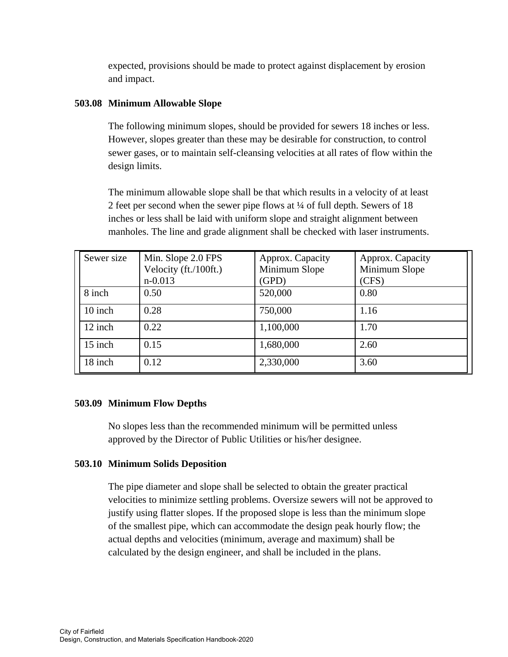expected, provisions should be made to protect against displacement by erosion and impact.

# **503.08 Minimum Allowable Slope**

The following minimum slopes, should be provided for sewers 18 inches or less. However, slopes greater than these may be desirable for construction, to control sewer gases, or to maintain self-cleansing velocities at all rates of flow within the design limits.

The minimum allowable slope shall be that which results in a velocity of at least 2 feet per second when the sewer pipe flows at ¼ of full depth. Sewers of 18 inches or less shall be laid with uniform slope and straight alignment between manholes. The line and grade alignment shall be checked with laser instruments.

| Sewer size | Min. Slope 2.0 FPS<br>Velocity (ft./100ft.)<br>$n - 0.013$ | Approx. Capacity<br>Minimum Slope<br>(GPD) | Approx. Capacity<br>Minimum Slope<br>(CFS) |
|------------|------------------------------------------------------------|--------------------------------------------|--------------------------------------------|
| 8 inch     | 0.50                                                       | 520,000                                    | 0.80                                       |
| 10 inch    | 0.28                                                       | 750,000                                    | 1.16                                       |
| 12 inch    | 0.22                                                       | 1,100,000                                  | 1.70                                       |
| 15 inch    | 0.15                                                       | 1,680,000                                  | 2.60                                       |
| 18 inch    | 0.12                                                       | 2,330,000                                  | 3.60                                       |

## **503.09 Minimum Flow Depths**

No slopes less than the recommended minimum will be permitted unless approved by the Director of Public Utilities or his/her designee.

## **503.10 Minimum Solids Deposition**

The pipe diameter and slope shall be selected to obtain the greater practical velocities to minimize settling problems. Oversize sewers will not be approved to justify using flatter slopes. If the proposed slope is less than the minimum slope of the smallest pipe, which can accommodate the design peak hourly flow; the actual depths and velocities (minimum, average and maximum) shall be calculated by the design engineer, and shall be included in the plans.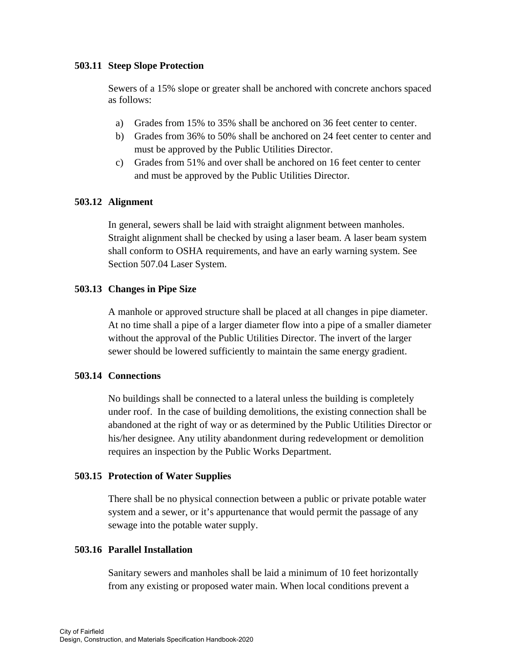## **503.11 Steep Slope Protection**

Sewers of a 15% slope or greater shall be anchored with concrete anchors spaced as follows:

- a) Grades from 15% to 35% shall be anchored on 36 feet center to center.
- b) Grades from 36% to 50% shall be anchored on 24 feet center to center and must be approved by the Public Utilities Director.
- c) Grades from 51% and over shall be anchored on 16 feet center to center and must be approved by the Public Utilities Director.

#### **503.12 Alignment**

In general, sewers shall be laid with straight alignment between manholes. Straight alignment shall be checked by using a laser beam. A laser beam system shall conform to OSHA requirements, and have an early warning system. See Section 507.04 Laser System.

## **503.13 Changes in Pipe Size**

A manhole or approved structure shall be placed at all changes in pipe diameter. At no time shall a pipe of a larger diameter flow into a pipe of a smaller diameter without the approval of the Public Utilities Director. The invert of the larger sewer should be lowered sufficiently to maintain the same energy gradient.

#### **503.14 Connections**

No buildings shall be connected to a lateral unless the building is completely under roof. In the case of building demolitions, the existing connection shall be abandoned at the right of way or as determined by the Public Utilities Director or his/her designee. Any utility abandonment during redevelopment or demolition requires an inspection by the Public Works Department.

## **503.15 Protection of Water Supplies**

There shall be no physical connection between a public or private potable water system and a sewer, or it's appurtenance that would permit the passage of any sewage into the potable water supply.

## **503.16 Parallel Installation**

Sanitary sewers and manholes shall be laid a minimum of 10 feet horizontally from any existing or proposed water main. When local conditions prevent a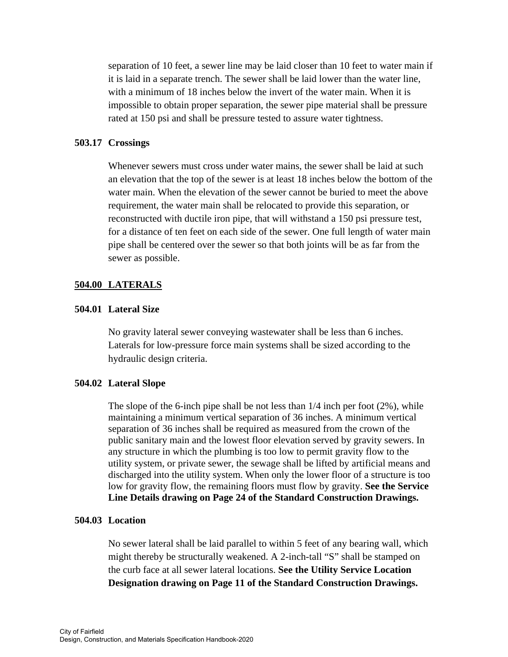separation of 10 feet, a sewer line may be laid closer than 10 feet to water main if it is laid in a separate trench. The sewer shall be laid lower than the water line, with a minimum of 18 inches below the invert of the water main. When it is impossible to obtain proper separation, the sewer pipe material shall be pressure rated at 150 psi and shall be pressure tested to assure water tightness.

#### **503.17 Crossings**

Whenever sewers must cross under water mains, the sewer shall be laid at such an elevation that the top of the sewer is at least 18 inches below the bottom of the water main. When the elevation of the sewer cannot be buried to meet the above requirement, the water main shall be relocated to provide this separation, or reconstructed with ductile iron pipe, that will withstand a 150 psi pressure test, for a distance of ten feet on each side of the sewer. One full length of water main pipe shall be centered over the sewer so that both joints will be as far from the sewer as possible.

#### **504.00 LATERALS**

#### **504.01 Lateral Size**

No gravity lateral sewer conveying wastewater shall be less than 6 inches. Laterals for low-pressure force main systems shall be sized according to the hydraulic design criteria.

## **504.02 Lateral Slope**

The slope of the 6-inch pipe shall be not less than  $1/4$  inch per foot  $(2\%)$ , while maintaining a minimum vertical separation of 36 inches. A minimum vertical separation of 36 inches shall be required as measured from the crown of the public sanitary main and the lowest floor elevation served by gravity sewers. In any structure in which the plumbing is too low to permit gravity flow to the utility system, or private sewer, the sewage shall be lifted by artificial means and discharged into the utility system. When only the lower floor of a structure is too low for gravity flow, the remaining floors must flow by gravity. **See the Service Line Details drawing on Page 24 of the Standard Construction Drawings.** 

## **504.03 Location**

No sewer lateral shall be laid parallel to within 5 feet of any bearing wall, which might thereby be structurally weakened. A 2-inch-tall "S" shall be stamped on the curb face at all sewer lateral locations. **See the Utility Service Location Designation drawing on Page 11 of the Standard Construction Drawings.**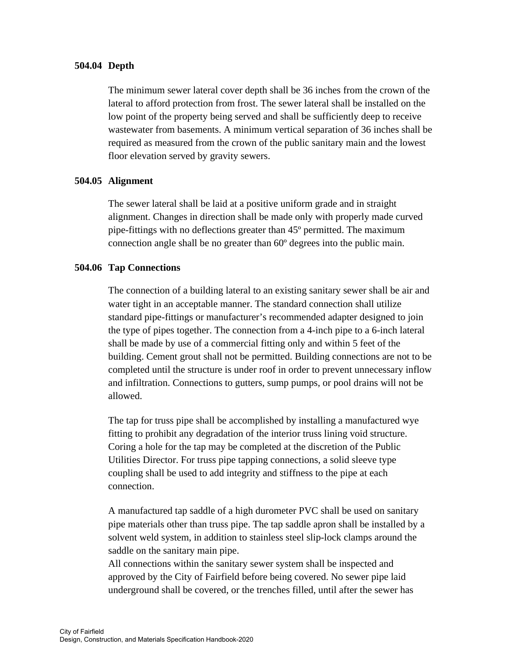#### **504.04 Depth**

The minimum sewer lateral cover depth shall be 36 inches from the crown of the lateral to afford protection from frost. The sewer lateral shall be installed on the low point of the property being served and shall be sufficiently deep to receive wastewater from basements. A minimum vertical separation of 36 inches shall be required as measured from the crown of the public sanitary main and the lowest floor elevation served by gravity sewers.

#### **504.05 Alignment**

The sewer lateral shall be laid at a positive uniform grade and in straight alignment. Changes in direction shall be made only with properly made curved pipe-fittings with no deflections greater than 45º permitted. The maximum connection angle shall be no greater than 60º degrees into the public main.

#### **504.06 Tap Connections**

The connection of a building lateral to an existing sanitary sewer shall be air and water tight in an acceptable manner. The standard connection shall utilize standard pipe-fittings or manufacturer's recommended adapter designed to join the type of pipes together. The connection from a 4-inch pipe to a 6-inch lateral shall be made by use of a commercial fitting only and within 5 feet of the building. Cement grout shall not be permitted. Building connections are not to be completed until the structure is under roof in order to prevent unnecessary inflow and infiltration. Connections to gutters, sump pumps, or pool drains will not be allowed.

 The tap for truss pipe shall be accomplished by installing a manufactured wye fitting to prohibit any degradation of the interior truss lining void structure. Coring a hole for the tap may be completed at the discretion of the Public Utilities Director. For truss pipe tapping connections, a solid sleeve type coupling shall be used to add integrity and stiffness to the pipe at each connection.

 A manufactured tap saddle of a high durometer PVC shall be used on sanitary pipe materials other than truss pipe. The tap saddle apron shall be installed by a solvent weld system, in addition to stainless steel slip-lock clamps around the saddle on the sanitary main pipe.

 All connections within the sanitary sewer system shall be inspected and approved by the City of Fairfield before being covered. No sewer pipe laid underground shall be covered, or the trenches filled, until after the sewer has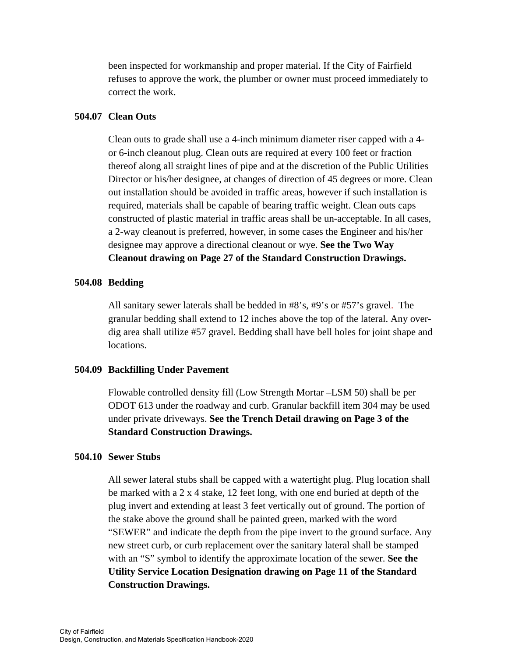been inspected for workmanship and proper material. If the City of Fairfield refuses to approve the work, the plumber or owner must proceed immediately to correct the work.

#### **504.07 Clean Outs**

Clean outs to grade shall use a 4-inch minimum diameter riser capped with a 4 or 6-inch cleanout plug. Clean outs are required at every 100 feet or fraction thereof along all straight lines of pipe and at the discretion of the Public Utilities Director or his/her designee, at changes of direction of 45 degrees or more. Clean out installation should be avoided in traffic areas, however if such installation is required, materials shall be capable of bearing traffic weight. Clean outs caps constructed of plastic material in traffic areas shall be un-acceptable. In all cases, a 2-way cleanout is preferred, however, in some cases the Engineer and his/her designee may approve a directional cleanout or wye. **See the Two Way Cleanout drawing on Page 27 of the Standard Construction Drawings.** 

#### **504.08 Bedding**

All sanitary sewer laterals shall be bedded in #8's, #9's or #57's gravel. The granular bedding shall extend to 12 inches above the top of the lateral. Any overdig area shall utilize #57 gravel. Bedding shall have bell holes for joint shape and locations.

#### **504.09 Backfilling Under Pavement**

Flowable controlled density fill (Low Strength Mortar –LSM 50) shall be per ODOT 613 under the roadway and curb. Granular backfill item 304 may be used under private driveways. **See the Trench Detail drawing on Page 3 of the Standard Construction Drawings.** 

#### **504.10 Sewer Stubs**

All sewer lateral stubs shall be capped with a watertight plug. Plug location shall be marked with a 2 x 4 stake, 12 feet long, with one end buried at depth of the plug invert and extending at least 3 feet vertically out of ground. The portion of the stake above the ground shall be painted green, marked with the word "SEWER" and indicate the depth from the pipe invert to the ground surface. Any new street curb, or curb replacement over the sanitary lateral shall be stamped with an "S" symbol to identify the approximate location of the sewer. **See the Utility Service Location Designation drawing on Page 11 of the Standard Construction Drawings.**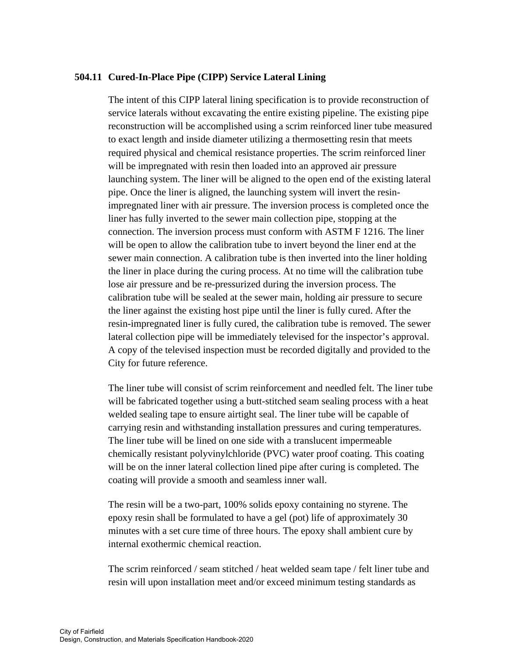## **504.11 Cured-In-Place Pipe (CIPP) Service Lateral Lining**

The intent of this CIPP lateral lining specification is to provide reconstruction of service laterals without excavating the entire existing pipeline. The existing pipe reconstruction will be accomplished using a scrim reinforced liner tube measured to exact length and inside diameter utilizing a thermosetting resin that meets required physical and chemical resistance properties. The scrim reinforced liner will be impregnated with resin then loaded into an approved air pressure launching system. The liner will be aligned to the open end of the existing lateral pipe. Once the liner is aligned, the launching system will invert the resinimpregnated liner with air pressure. The inversion process is completed once the liner has fully inverted to the sewer main collection pipe, stopping at the connection. The inversion process must conform with ASTM F 1216. The liner will be open to allow the calibration tube to invert beyond the liner end at the sewer main connection. A calibration tube is then inverted into the liner holding the liner in place during the curing process. At no time will the calibration tube lose air pressure and be re-pressurized during the inversion process. The calibration tube will be sealed at the sewer main, holding air pressure to secure the liner against the existing host pipe until the liner is fully cured. After the resin-impregnated liner is fully cured, the calibration tube is removed. The sewer lateral collection pipe will be immediately televised for the inspector's approval. A copy of the televised inspection must be recorded digitally and provided to the City for future reference.

The liner tube will consist of scrim reinforcement and needled felt. The liner tube will be fabricated together using a butt-stitched seam sealing process with a heat welded sealing tape to ensure airtight seal. The liner tube will be capable of carrying resin and withstanding installation pressures and curing temperatures. The liner tube will be lined on one side with a translucent impermeable chemically resistant polyvinylchloride (PVC) water proof coating. This coating will be on the inner lateral collection lined pipe after curing is completed. The coating will provide a smooth and seamless inner wall.

The resin will be a two-part, 100% solids epoxy containing no styrene. The epoxy resin shall be formulated to have a gel (pot) life of approximately 30 minutes with a set cure time of three hours. The epoxy shall ambient cure by internal exothermic chemical reaction.

The scrim reinforced / seam stitched / heat welded seam tape / felt liner tube and resin will upon installation meet and/or exceed minimum testing standards as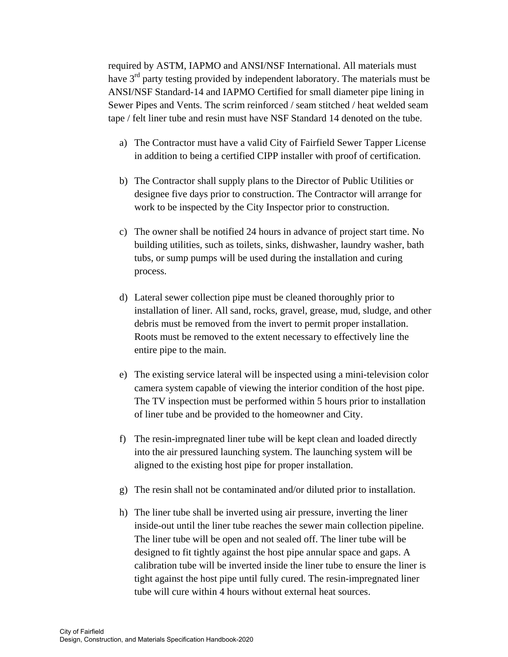required by ASTM, IAPMO and ANSI/NSF International. All materials must have 3<sup>rd</sup> party testing provided by independent laboratory. The materials must be ANSI/NSF Standard-14 and IAPMO Certified for small diameter pipe lining in Sewer Pipes and Vents. The scrim reinforced / seam stitched / heat welded seam tape / felt liner tube and resin must have NSF Standard 14 denoted on the tube.

- a) The Contractor must have a valid City of Fairfield Sewer Tapper License in addition to being a certified CIPP installer with proof of certification.
- b) The Contractor shall supply plans to the Director of Public Utilities or designee five days prior to construction. The Contractor will arrange for work to be inspected by the City Inspector prior to construction.
- c) The owner shall be notified 24 hours in advance of project start time. No building utilities, such as toilets, sinks, dishwasher, laundry washer, bath tubs, or sump pumps will be used during the installation and curing process.
- d) Lateral sewer collection pipe must be cleaned thoroughly prior to installation of liner. All sand, rocks, gravel, grease, mud, sludge, and other debris must be removed from the invert to permit proper installation. Roots must be removed to the extent necessary to effectively line the entire pipe to the main.
- e) The existing service lateral will be inspected using a mini-television color camera system capable of viewing the interior condition of the host pipe. The TV inspection must be performed within 5 hours prior to installation of liner tube and be provided to the homeowner and City.
- f) The resin-impregnated liner tube will be kept clean and loaded directly into the air pressured launching system. The launching system will be aligned to the existing host pipe for proper installation.
- g) The resin shall not be contaminated and/or diluted prior to installation.
- h) The liner tube shall be inverted using air pressure, inverting the liner inside-out until the liner tube reaches the sewer main collection pipeline. The liner tube will be open and not sealed off. The liner tube will be designed to fit tightly against the host pipe annular space and gaps. A calibration tube will be inverted inside the liner tube to ensure the liner is tight against the host pipe until fully cured. The resin-impregnated liner tube will cure within 4 hours without external heat sources.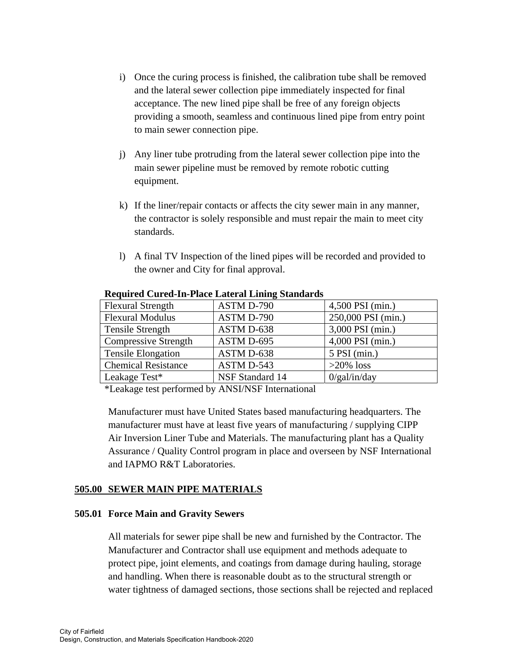- i) Once the curing process is finished, the calibration tube shall be removed and the lateral sewer collection pipe immediately inspected for final acceptance. The new lined pipe shall be free of any foreign objects providing a smooth, seamless and continuous lined pipe from entry point to main sewer connection pipe.
- j) Any liner tube protruding from the lateral sewer collection pipe into the main sewer pipeline must be removed by remote robotic cutting equipment.
- k) If the liner/repair contacts or affects the city sewer main in any manner, the contractor is solely responsible and must repair the main to meet city standards.
- l) A final TV Inspection of the lined pipes will be recorded and provided to the owner and City for final approval.

| Required Cureu-In-I face Lateral Linnig Standarus |                 |                    |  |  |
|---------------------------------------------------|-----------------|--------------------|--|--|
| <b>Flexural Strength</b>                          | ASTM D-790      | 4,500 PSI (min.)   |  |  |
| <b>Flexural Modulus</b>                           | ASTM D-790      | 250,000 PSI (min.) |  |  |
| Tensile Strength                                  | ASTM D-638      | 3,000 PSI (min.)   |  |  |
| <b>Compressive Strength</b>                       | ASTM D-695      | 4,000 PSI (min.)   |  |  |
| <b>Tensile Elongation</b>                         | ASTM D-638      | $5$ PSI (min.)     |  |  |
| <b>Chemical Resistance</b>                        | ASTM D-543      | $>20\%$ loss       |  |  |
| Leakage Test*                                     | NSF Standard 14 | $0$ /gal/in/day    |  |  |

#### **Required Cured-In-Place Lateral Lining Standards**

\*Leakage test performed by ANSI/NSF International

Manufacturer must have United States based manufacturing headquarters. The manufacturer must have at least five years of manufacturing / supplying CIPP Air Inversion Liner Tube and Materials. The manufacturing plant has a Quality Assurance / Quality Control program in place and overseen by NSF International and IAPMO R&T Laboratories.

## **505.00 SEWER MAIN PIPE MATERIALS**

#### **505.01 Force Main and Gravity Sewers**

All materials for sewer pipe shall be new and furnished by the Contractor. The Manufacturer and Contractor shall use equipment and methods adequate to protect pipe, joint elements, and coatings from damage during hauling, storage and handling. When there is reasonable doubt as to the structural strength or water tightness of damaged sections, those sections shall be rejected and replaced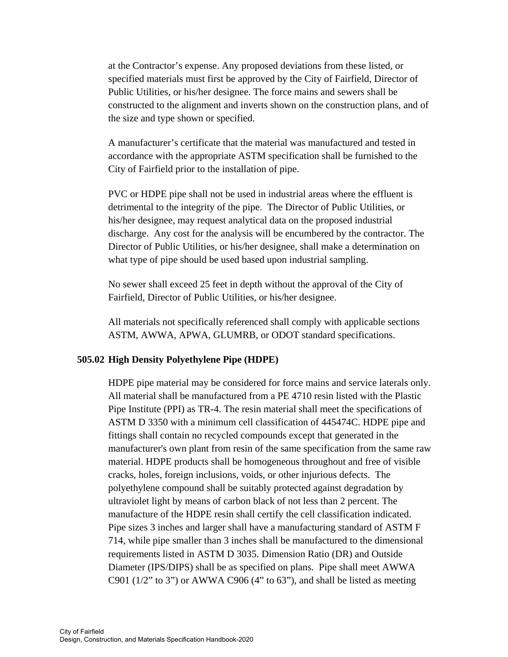at the Contractor's expense. Any proposed deviations from these listed, or specified materials must first be approved by the City of Fairfield, Director of Public Utilities, or his/her designee. The force mains and sewers shall be constructed to the alignment and inverts shown on the construction plans, and of the size and type shown or specified.

 A manufacturer's certificate that the material was manufactured and tested in accordance with the appropriate ASTM specification shall be furnished to the City of Fairfield prior to the installation of pipe.

 PVC or HDPE pipe shall not be used in industrial areas where the effluent is detrimental to the integrity of the pipe. The Director of Public Utilities, or his/her designee, may request analytical data on the proposed industrial discharge. Any cost for the analysis will be encumbered by the contractor. The Director of Public Utilities, or his/her designee, shall make a determination on what type of pipe should be used based upon industrial sampling.

 No sewer shall exceed 25 feet in depth without the approval of the City of Fairfield, Director of Public Utilities, or his/her designee.

 All materials not specifically referenced shall comply with applicable sections ASTM, AWWA, APWA, GLUMRB, or ODOT standard specifications.

## **505.02 High Density Polyethylene Pipe (HDPE)**

HDPE pipe material may be considered for force mains and service laterals only. All material shall be manufactured from a PE 4710 resin listed with the Plastic Pipe Institute (PPI) as TR-4. The resin material shall meet the specifications of ASTM D 3350 with a minimum cell classification of 445474C. HDPE pipe and fittings shall contain no recycled compounds except that generated in the manufacturer's own plant from resin of the same specification from the same raw material. HDPE products shall be homogeneous throughout and free of visible cracks, holes, foreign inclusions, voids, or other injurious defects. The polyethylene compound shall be suitably protected against degradation by ultraviolet light by means of carbon black of not less than 2 percent. The manufacture of the HDPE resin shall certify the cell classification indicated. Pipe sizes 3 inches and larger shall have a manufacturing standard of ASTM F 714, while pipe smaller than 3 inches shall be manufactured to the dimensional requirements listed in ASTM D 3035. Dimension Ratio (DR) and Outside Diameter (IPS/DIPS) shall be as specified on plans. Pipe shall meet AWWA C901 ( $1/2$ " to 3") or AWWA C906 ( $4$ " to 63"), and shall be listed as meeting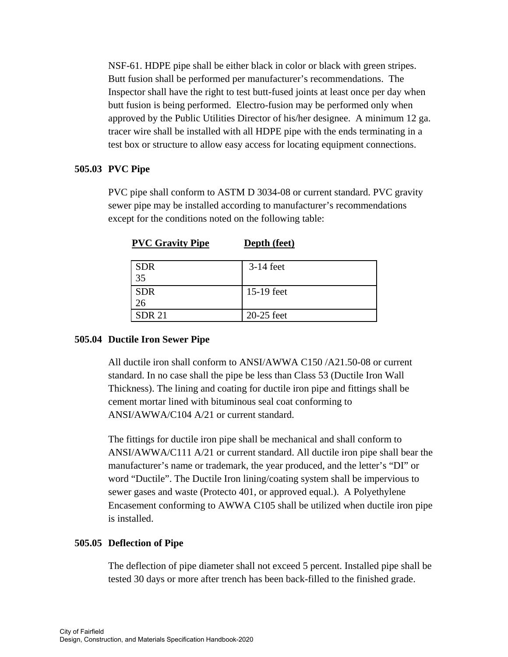NSF-61. HDPE pipe shall be either black in color or black with green stripes. Butt fusion shall be performed per manufacturer's recommendations. The Inspector shall have the right to test butt-fused joints at least once per day when butt fusion is being performed. Electro-fusion may be performed only when approved by the Public Utilities Director of his/her designee. A minimum 12 ga. tracer wire shall be installed with all HDPE pipe with the ends terminating in a test box or structure to allow easy access for locating equipment connections.

# **505.03 PVC Pipe**

PVC pipe shall conform to ASTM D 3034-08 or current standard. PVC gravity sewer pipe may be installed according to manufacturer's recommendations except for the conditions noted on the following table:

| <b>SDR</b>    | $3-14$ feet |
|---------------|-------------|
| 35            |             |
| <b>SDR</b>    | 15-19 feet  |
| 26            |             |
| <b>SDR 21</b> | 20-25 feet  |

**PVC Gravity Pipe Depth (feet)** 

## **505.04 Ductile Iron Sewer Pipe**

All ductile iron shall conform to ANSI/AWWA C150 /A21.50-08 or current standard. In no case shall the pipe be less than Class 53 (Ductile Iron Wall Thickness). The lining and coating for ductile iron pipe and fittings shall be cement mortar lined with bituminous seal coat conforming to ANSI/AWWA/C104 A/21 or current standard.

 The fittings for ductile iron pipe shall be mechanical and shall conform to ANSI/AWWA/C111 A/21 or current standard. All ductile iron pipe shall bear the manufacturer's name or trademark, the year produced, and the letter's "DI" or word "Ductile". The Ductile Iron lining/coating system shall be impervious to sewer gases and waste (Protecto 401, or approved equal.). A Polyethylene Encasement conforming to AWWA C105 shall be utilized when ductile iron pipe is installed.

# **505.05 Deflection of Pipe**

The deflection of pipe diameter shall not exceed 5 percent. Installed pipe shall be tested 30 days or more after trench has been back-filled to the finished grade.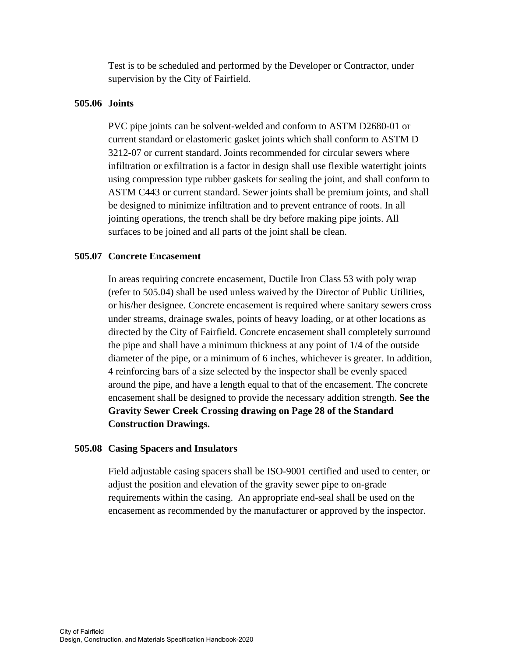Test is to be scheduled and performed by the Developer or Contractor, under supervision by the City of Fairfield.

# **505.06 Joints**

PVC pipe joints can be solvent-welded and conform to ASTM D2680-01 or current standard or elastomeric gasket joints which shall conform to ASTM D 3212-07 or current standard. Joints recommended for circular sewers where infiltration or exfiltration is a factor in design shall use flexible watertight joints using compression type rubber gaskets for sealing the joint, and shall conform to ASTM C443 or current standard. Sewer joints shall be premium joints, and shall be designed to minimize infiltration and to prevent entrance of roots. In all jointing operations, the trench shall be dry before making pipe joints. All surfaces to be joined and all parts of the joint shall be clean.

# **505.07 Concrete Encasement**

In areas requiring concrete encasement, Ductile Iron Class 53 with poly wrap (refer to 505.04) shall be used unless waived by the Director of Public Utilities, or his/her designee. Concrete encasement is required where sanitary sewers cross under streams, drainage swales, points of heavy loading, or at other locations as directed by the City of Fairfield. Concrete encasement shall completely surround the pipe and shall have a minimum thickness at any point of 1/4 of the outside diameter of the pipe, or a minimum of 6 inches, whichever is greater. In addition, 4 reinforcing bars of a size selected by the inspector shall be evenly spaced around the pipe, and have a length equal to that of the encasement. The concrete encasement shall be designed to provide the necessary addition strength. **See the Gravity Sewer Creek Crossing drawing on Page 28 of the Standard Construction Drawings.**

## **505.08 Casing Spacers and Insulators**

 Field adjustable casing spacers shall be ISO-9001 certified and used to center, or adjust the position and elevation of the gravity sewer pipe to on-grade requirements within the casing. An appropriate end-seal shall be used on the encasement as recommended by the manufacturer or approved by the inspector.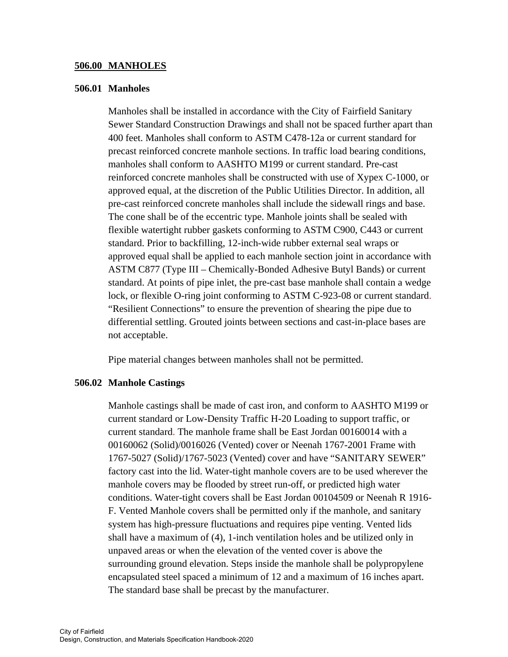#### **506.00 MANHOLES**

#### **506.01 Manholes**

Manholes shall be installed in accordance with the City of Fairfield Sanitary Sewer Standard Construction Drawings and shall not be spaced further apart than 400 feet. Manholes shall conform to ASTM C478-12a or current standard for precast reinforced concrete manhole sections. In traffic load bearing conditions, manholes shall conform to AASHTO M199 or current standard. Pre-cast reinforced concrete manholes shall be constructed with use of Xypex C-1000, or approved equal, at the discretion of the Public Utilities Director. In addition, all pre-cast reinforced concrete manholes shall include the sidewall rings and base. The cone shall be of the eccentric type. Manhole joints shall be sealed with flexible watertight rubber gaskets conforming to ASTM C900, C443 or current standard. Prior to backfilling, 12-inch-wide rubber external seal wraps or approved equal shall be applied to each manhole section joint in accordance with ASTM C877 (Type III – Chemically-Bonded Adhesive Butyl Bands) or current standard. At points of pipe inlet, the pre-cast base manhole shall contain a wedge lock, or flexible O-ring joint conforming to ASTM C-923-08 or current standard. "Resilient Connections" to ensure the prevention of shearing the pipe due to differential settling. Grouted joints between sections and cast-in-place bases are not acceptable.

Pipe material changes between manholes shall not be permitted.

#### **506.02 Manhole Castings**

Manhole castings shall be made of cast iron, and conform to AASHTO M199 or current standard or Low-Density Traffic H-20 Loading to support traffic, or current standard. The manhole frame shall be East Jordan 00160014 with a 00160062 (Solid)/0016026 (Vented) cover or Neenah 1767-2001 Frame with 1767-5027 (Solid)/1767-5023 (Vented) cover and have "SANITARY SEWER" factory cast into the lid. Water-tight manhole covers are to be used wherever the manhole covers may be flooded by street run-off, or predicted high water conditions. Water-tight covers shall be East Jordan 00104509 or Neenah R 1916- F. Vented Manhole covers shall be permitted only if the manhole, and sanitary system has high-pressure fluctuations and requires pipe venting. Vented lids shall have a maximum of (4), 1-inch ventilation holes and be utilized only in unpaved areas or when the elevation of the vented cover is above the surrounding ground elevation. Steps inside the manhole shall be polypropylene encapsulated steel spaced a minimum of 12 and a maximum of 16 inches apart. The standard base shall be precast by the manufacturer.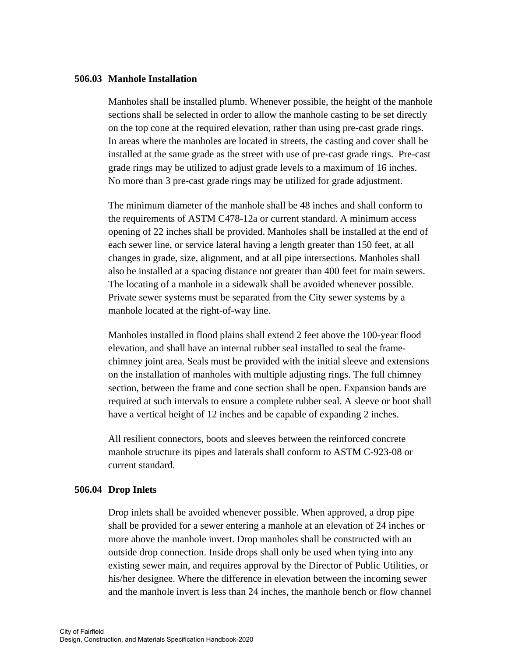#### **506.03 Manhole Installation**

Manholes shall be installed plumb. Whenever possible, the height of the manhole sections shall be selected in order to allow the manhole casting to be set directly on the top cone at the required elevation, rather than using pre-cast grade rings. In areas where the manholes are located in streets, the casting and cover shall be installed at the same grade as the street with use of pre-cast grade rings. Pre-cast grade rings may be utilized to adjust grade levels to a maximum of 16 inches. No more than 3 pre-cast grade rings may be utilized for grade adjustment.

 The minimum diameter of the manhole shall be 48 inches and shall conform to the requirements of ASTM C478-12a or current standard. A minimum access opening of 22 inches shall be provided. Manholes shall be installed at the end of each sewer line, or service lateral having a length greater than 150 feet, at all changes in grade, size, alignment, and at all pipe intersections. Manholes shall also be installed at a spacing distance not greater than 400 feet for main sewers. The locating of a manhole in a sidewalk shall be avoided whenever possible. Private sewer systems must be separated from the City sewer systems by a manhole located at the right-of-way line.

 Manholes installed in flood plains shall extend 2 feet above the 100-year flood elevation, and shall have an internal rubber seal installed to seal the framechimney joint area. Seals must be provided with the initial sleeve and extensions on the installation of manholes with multiple adjusting rings. The full chimney section, between the frame and cone section shall be open. Expansion bands are required at such intervals to ensure a complete rubber seal. A sleeve or boot shall have a vertical height of 12 inches and be capable of expanding 2 inches.

 All resilient connectors, boots and sleeves between the reinforced concrete manhole structure its pipes and laterals shall conform to ASTM C-923-08 or current standard.

#### **506.04 Drop Inlets**

 Drop inlets shall be avoided whenever possible. When approved, a drop pipe shall be provided for a sewer entering a manhole at an elevation of 24 inches or more above the manhole invert. Drop manholes shall be constructed with an outside drop connection. Inside drops shall only be used when tying into any existing sewer main, and requires approval by the Director of Public Utilities, or his/her designee. Where the difference in elevation between the incoming sewer and the manhole invert is less than 24 inches, the manhole bench or flow channel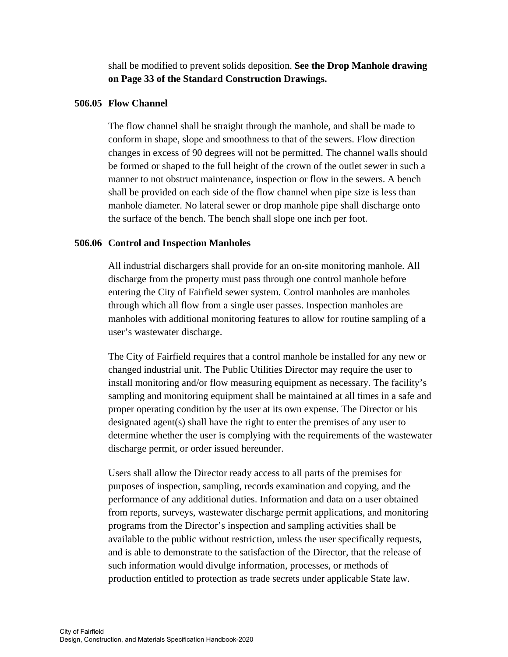shall be modified to prevent solids deposition. **See the Drop Manhole drawing on Page 33 of the Standard Construction Drawings.**

#### **506.05 Flow Channel**

The flow channel shall be straight through the manhole, and shall be made to conform in shape, slope and smoothness to that of the sewers. Flow direction changes in excess of 90 degrees will not be permitted. The channel walls should be formed or shaped to the full height of the crown of the outlet sewer in such a manner to not obstruct maintenance, inspection or flow in the sewers. A bench shall be provided on each side of the flow channel when pipe size is less than manhole diameter. No lateral sewer or drop manhole pipe shall discharge onto the surface of the bench. The bench shall slope one inch per foot.

## **506.06 Control and Inspection Manholes**

All industrial dischargers shall provide for an on-site monitoring manhole. All discharge from the property must pass through one control manhole before entering the City of Fairfield sewer system. Control manholes are manholes through which all flow from a single user passes. Inspection manholes are manholes with additional monitoring features to allow for routine sampling of a user's wastewater discharge.

 The City of Fairfield requires that a control manhole be installed for any new or changed industrial unit. The Public Utilities Director may require the user to install monitoring and/or flow measuring equipment as necessary. The facility's sampling and monitoring equipment shall be maintained at all times in a safe and proper operating condition by the user at its own expense. The Director or his designated agent(s) shall have the right to enter the premises of any user to determine whether the user is complying with the requirements of the wastewater discharge permit, or order issued hereunder.

 Users shall allow the Director ready access to all parts of the premises for purposes of inspection, sampling, records examination and copying, and the performance of any additional duties. Information and data on a user obtained from reports, surveys, wastewater discharge permit applications, and monitoring programs from the Director's inspection and sampling activities shall be available to the public without restriction, unless the user specifically requests, and is able to demonstrate to the satisfaction of the Director, that the release of such information would divulge information, processes, or methods of production entitled to protection as trade secrets under applicable State law.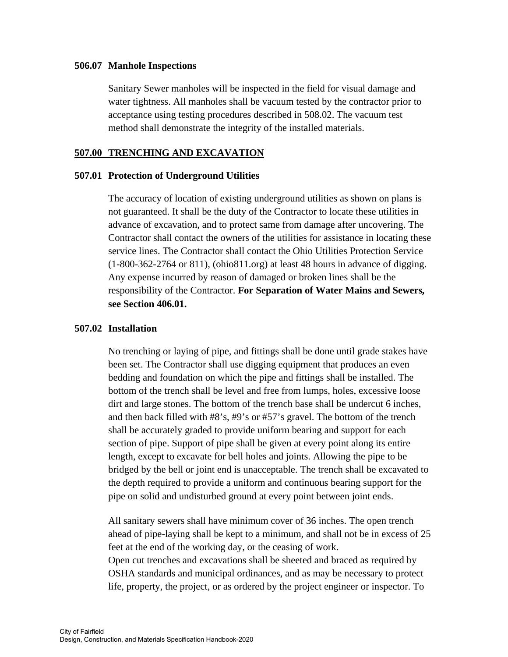#### **506.07 Manhole Inspections**

Sanitary Sewer manholes will be inspected in the field for visual damage and water tightness. All manholes shall be vacuum tested by the contractor prior to acceptance using testing procedures described in 508.02. The vacuum test method shall demonstrate the integrity of the installed materials.

## **507.00 TRENCHING AND EXCAVATION**

## **507.01 Protection of Underground Utilities**

The accuracy of location of existing underground utilities as shown on plans is not guaranteed. It shall be the duty of the Contractor to locate these utilities in advance of excavation, and to protect same from damage after uncovering. The Contractor shall contact the owners of the utilities for assistance in locating these service lines. The Contractor shall contact the Ohio Utilities Protection Service (1-800-362-2764 or 811), (ohio811.org) at least 48 hours in advance of digging. Any expense incurred by reason of damaged or broken lines shall be the responsibility of the Contractor. **For Separation of Water Mains and Sewers***,*  **see Section 406.01.**

# **507.02 Installation**

No trenching or laying of pipe, and fittings shall be done until grade stakes have been set. The Contractor shall use digging equipment that produces an even bedding and foundation on which the pipe and fittings shall be installed. The bottom of the trench shall be level and free from lumps, holes, excessive loose dirt and large stones. The bottom of the trench base shall be undercut 6 inches, and then back filled with #8's, #9's or #57's gravel. The bottom of the trench shall be accurately graded to provide uniform bearing and support for each section of pipe. Support of pipe shall be given at every point along its entire length, except to excavate for bell holes and joints. Allowing the pipe to be bridged by the bell or joint end is unacceptable. The trench shall be excavated to the depth required to provide a uniform and continuous bearing support for the pipe on solid and undisturbed ground at every point between joint ends.

 All sanitary sewers shall have minimum cover of 36 inches. The open trench ahead of pipe-laying shall be kept to a minimum, and shall not be in excess of 25 feet at the end of the working day, or the ceasing of work.

 Open cut trenches and excavations shall be sheeted and braced as required by OSHA standards and municipal ordinances, and as may be necessary to protect life, property, the project, or as ordered by the project engineer or inspector. To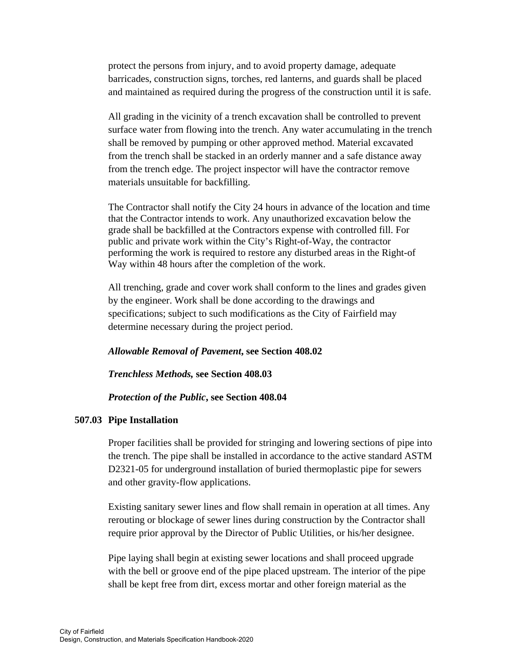protect the persons from injury, and to avoid property damage, adequate barricades, construction signs, torches, red lanterns, and guards shall be placed and maintained as required during the progress of the construction until it is safe.

 All grading in the vicinity of a trench excavation shall be controlled to prevent surface water from flowing into the trench. Any water accumulating in the trench shall be removed by pumping or other approved method. Material excavated from the trench shall be stacked in an orderly manner and a safe distance away from the trench edge. The project inspector will have the contractor remove materials unsuitable for backfilling.

 The Contractor shall notify the City 24 hours in advance of the location and time that the Contractor intends to work. Any unauthorized excavation below the grade shall be backfilled at the Contractors expense with controlled fill. For public and private work within the City's Right-of-Way, the contractor performing the work is required to restore any disturbed areas in the Right-of Way within 48 hours after the completion of the work.

 All trenching, grade and cover work shall conform to the lines and grades given by the engineer. Work shall be done according to the drawings and specifications; subject to such modifications as the City of Fairfield may determine necessary during the project period.

#### *Allowable Removal of Pavement***, see Section 408.02**

#### *Trenchless Methods,* **see Section 408.03**

#### *Protection of the Public***, see Section 408.04**

#### **507.03 Pipe Installation**

Proper facilities shall be provided for stringing and lowering sections of pipe into the trench. The pipe shall be installed in accordance to the active standard ASTM D2321-05 for underground installation of buried thermoplastic pipe for sewers and other gravity-flow applications.

 Existing sanitary sewer lines and flow shall remain in operation at all times. Any rerouting or blockage of sewer lines during construction by the Contractor shall require prior approval by the Director of Public Utilities, or his/her designee.

Pipe laying shall begin at existing sewer locations and shall proceed upgrade with the bell or groove end of the pipe placed upstream. The interior of the pipe shall be kept free from dirt, excess mortar and other foreign material as the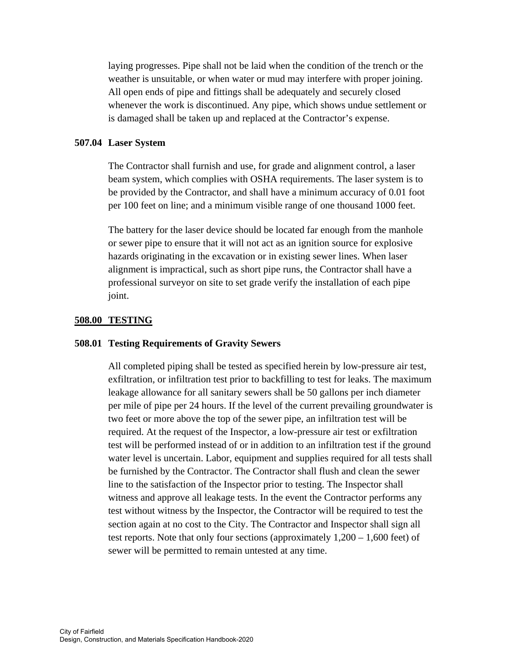laying progresses. Pipe shall not be laid when the condition of the trench or the weather is unsuitable, or when water or mud may interfere with proper joining. All open ends of pipe and fittings shall be adequately and securely closed whenever the work is discontinued. Any pipe, which shows undue settlement or is damaged shall be taken up and replaced at the Contractor's expense.

#### **507.04 Laser System**

The Contractor shall furnish and use, for grade and alignment control, a laser beam system, which complies with OSHA requirements. The laser system is to be provided by the Contractor, and shall have a minimum accuracy of 0.01 foot per 100 feet on line; and a minimum visible range of one thousand 1000 feet.

 The battery for the laser device should be located far enough from the manhole or sewer pipe to ensure that it will not act as an ignition source for explosive hazards originating in the excavation or in existing sewer lines. When laser alignment is impractical, such as short pipe runs, the Contractor shall have a professional surveyor on site to set grade verify the installation of each pipe joint.

#### **508.00 TESTING**

#### **508.01 Testing Requirements of Gravity Sewers**

All completed piping shall be tested as specified herein by low-pressure air test, exfiltration, or infiltration test prior to backfilling to test for leaks. The maximum leakage allowance for all sanitary sewers shall be 50 gallons per inch diameter per mile of pipe per 24 hours. If the level of the current prevailing groundwater is two feet or more above the top of the sewer pipe, an infiltration test will be required. At the request of the Inspector, a low-pressure air test or exfiltration test will be performed instead of or in addition to an infiltration test if the ground water level is uncertain. Labor, equipment and supplies required for all tests shall be furnished by the Contractor. The Contractor shall flush and clean the sewer line to the satisfaction of the Inspector prior to testing. The Inspector shall witness and approve all leakage tests. In the event the Contractor performs any test without witness by the Inspector, the Contractor will be required to test the section again at no cost to the City. The Contractor and Inspector shall sign all test reports. Note that only four sections (approximately 1,200 – 1,600 feet) of sewer will be permitted to remain untested at any time.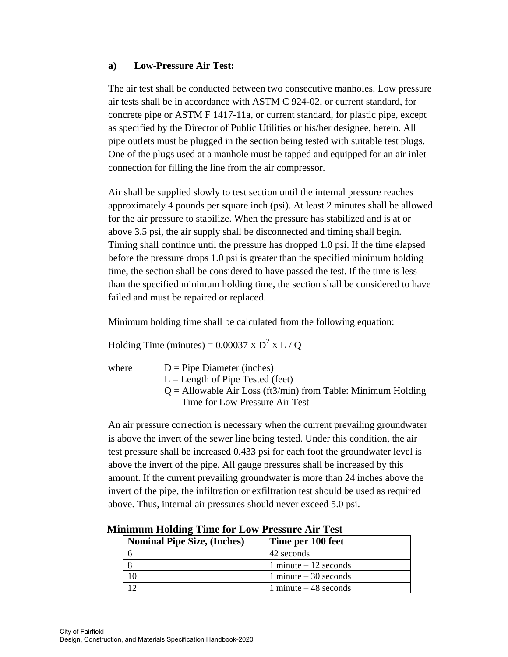## **a) Low-Pressure Air Test:**

The air test shall be conducted between two consecutive manholes. Low pressure air tests shall be in accordance with ASTM C 924-02, or current standard, for concrete pipe or ASTM F 1417-11a, or current standard, for plastic pipe, except as specified by the Director of Public Utilities or his/her designee, herein. All pipe outlets must be plugged in the section being tested with suitable test plugs. One of the plugs used at a manhole must be tapped and equipped for an air inlet connection for filling the line from the air compressor.

Air shall be supplied slowly to test section until the internal pressure reaches approximately 4 pounds per square inch (psi). At least 2 minutes shall be allowed for the air pressure to stabilize. When the pressure has stabilized and is at or above 3.5 psi, the air supply shall be disconnected and timing shall begin. Timing shall continue until the pressure has dropped 1.0 psi. If the time elapsed before the pressure drops 1.0 psi is greater than the specified minimum holding time, the section shall be considered to have passed the test. If the time is less than the specified minimum holding time, the section shall be considered to have failed and must be repaired or replaced.

Minimum holding time shall be calculated from the following equation:

Holding Time (minutes) =  $0.00037 \times D^2 \times L / Q$ 

where  $D =$  Pipe Diameter (inches)  $L =$  Length of Pipe Tested (feet)  $Q =$  Allowable Air Loss (ft3/min) from Table: Minimum Holding Time for Low Pressure Air Test

An air pressure correction is necessary when the current prevailing groundwater is above the invert of the sewer line being tested. Under this condition, the air test pressure shall be increased 0.433 psi for each foot the groundwater level is above the invert of the pipe. All gauge pressures shall be increased by this amount. If the current prevailing groundwater is more than 24 inches above the invert of the pipe, the infiltration or exfiltration test should be used as required above. Thus, internal air pressures should never exceed 5.0 psi.

| mmun noiume tunctor down ressure in test |                        |  |
|------------------------------------------|------------------------|--|
| <b>Nominal Pipe Size, (Inches)</b>       | Time per 100 feet      |  |
|                                          | 42 seconds             |  |
| 8                                        | 1 minute $-12$ seconds |  |
|                                          | 1 minute $-30$ seconds |  |
|                                          | 1 minute $-48$ seconds |  |

**Minimum Holding Time for Low Pressure Air Test**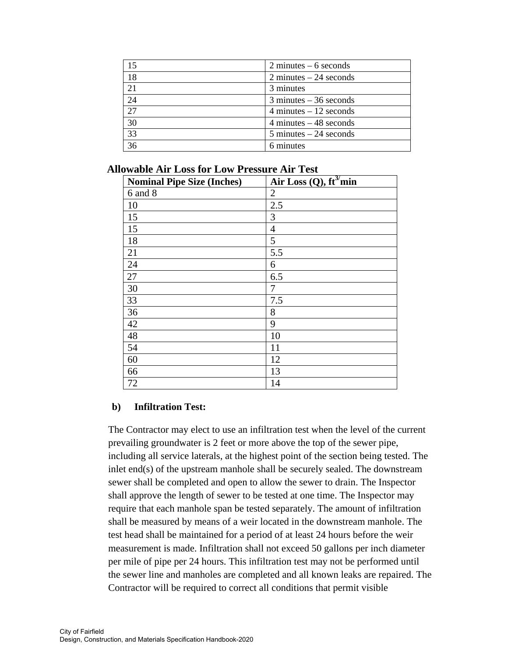| 15 | $2$ minutes $-6$ seconds                 |
|----|------------------------------------------|
|    |                                          |
| 18 | $2$ minutes $-24$ seconds                |
| 21 | 3 minutes                                |
| 24 | $3$ minutes $-36$ seconds                |
| 27 | $4 \text{ minutes} - 12 \text{ seconds}$ |
| 30 | $4 \text{ minutes} - 48 \text{ seconds}$ |
| 33 | $5 \text{ minutes} - 24 \text{ seconds}$ |
| 36 | 6 minutes                                |

**Allowable Air Loss for Low Pressure Air Test** 

| <b>Nominal Pipe Size (Inches)</b> | Air $\overline{\text{Loss }(Q)}$ , ft <sup>3</sup> /min |
|-----------------------------------|---------------------------------------------------------|
| 6 and 8                           | $\overline{2}$                                          |
| 10                                | 2.5                                                     |
| 15                                | 3                                                       |
| 15                                | 4                                                       |
| 18                                | 5                                                       |
| 21                                | 5.5                                                     |
| 24                                | 6                                                       |
| 27                                | 6.5                                                     |
| 30                                | 7                                                       |
| 33                                | 7.5                                                     |
| 36                                | 8                                                       |
| 42                                | 9                                                       |
| 48                                | 10                                                      |
| 54                                | 11                                                      |
| 60                                | 12                                                      |
| 66                                | 13                                                      |
| 72                                | 14                                                      |

## **b) Infiltration Test:**

The Contractor may elect to use an infiltration test when the level of the current prevailing groundwater is 2 feet or more above the top of the sewer pipe, including all service laterals, at the highest point of the section being tested. The inlet end(s) of the upstream manhole shall be securely sealed. The downstream sewer shall be completed and open to allow the sewer to drain. The Inspector shall approve the length of sewer to be tested at one time. The Inspector may require that each manhole span be tested separately. The amount of infiltration shall be measured by means of a weir located in the downstream manhole. The test head shall be maintained for a period of at least 24 hours before the weir measurement is made. Infiltration shall not exceed 50 gallons per inch diameter per mile of pipe per 24 hours. This infiltration test may not be performed until the sewer line and manholes are completed and all known leaks are repaired. The Contractor will be required to correct all conditions that permit visible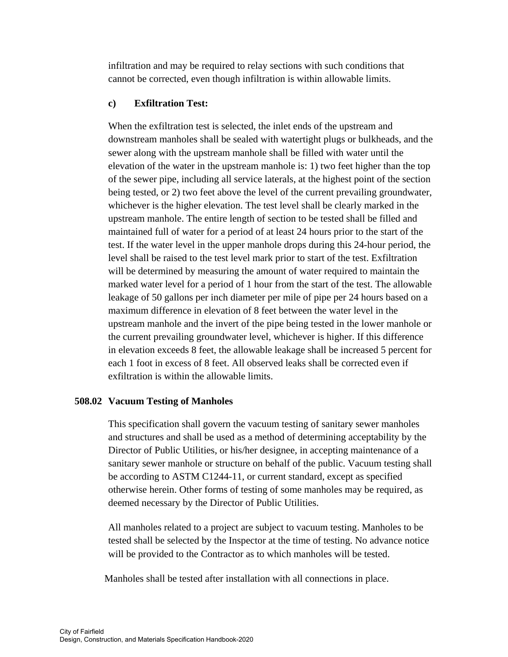infiltration and may be required to relay sections with such conditions that cannot be corrected, even though infiltration is within allowable limits.

# **c) Exfiltration Test:**

When the exfiltration test is selected, the inlet ends of the upstream and downstream manholes shall be sealed with watertight plugs or bulkheads, and the sewer along with the upstream manhole shall be filled with water until the elevation of the water in the upstream manhole is: 1) two feet higher than the top of the sewer pipe, including all service laterals, at the highest point of the section being tested, or 2) two feet above the level of the current prevailing groundwater, whichever is the higher elevation. The test level shall be clearly marked in the upstream manhole. The entire length of section to be tested shall be filled and maintained full of water for a period of at least 24 hours prior to the start of the test. If the water level in the upper manhole drops during this 24-hour period, the level shall be raised to the test level mark prior to start of the test. Exfiltration will be determined by measuring the amount of water required to maintain the marked water level for a period of 1 hour from the start of the test. The allowable leakage of 50 gallons per inch diameter per mile of pipe per 24 hours based on a maximum difference in elevation of 8 feet between the water level in the upstream manhole and the invert of the pipe being tested in the lower manhole or the current prevailing groundwater level, whichever is higher. If this difference in elevation exceeds 8 feet, the allowable leakage shall be increased 5 percent for each 1 foot in excess of 8 feet. All observed leaks shall be corrected even if exfiltration is within the allowable limits.

## **508.02 Vacuum Testing of Manholes**

This specification shall govern the vacuum testing of sanitary sewer manholes and structures and shall be used as a method of determining acceptability by the Director of Public Utilities, or his/her designee, in accepting maintenance of a sanitary sewer manhole or structure on behalf of the public. Vacuum testing shall be according to ASTM C1244-11, or current standard, except as specified otherwise herein. Other forms of testing of some manholes may be required, as deemed necessary by the Director of Public Utilities.

 All manholes related to a project are subject to vacuum testing. Manholes to be tested shall be selected by the Inspector at the time of testing. No advance notice will be provided to the Contractor as to which manholes will be tested.

Manholes shall be tested after installation with all connections in place.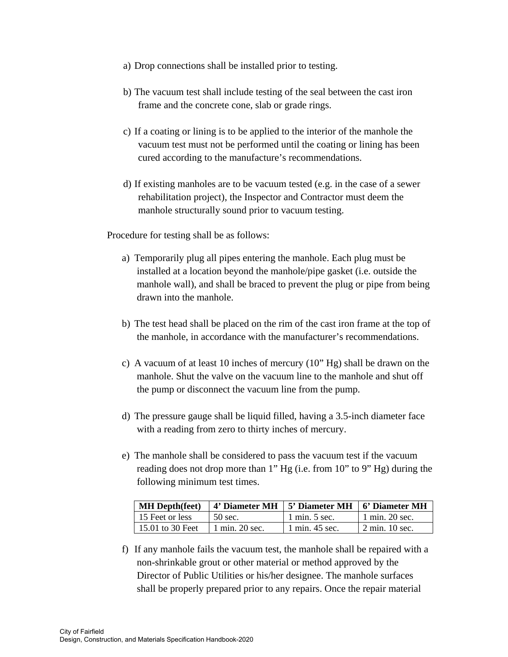- a) Drop connections shall be installed prior to testing.
- b) The vacuum test shall include testing of the seal between the cast iron frame and the concrete cone, slab or grade rings.
- c) If a coating or lining is to be applied to the interior of the manhole the vacuum test must not be performed until the coating or lining has been cured according to the manufacture's recommendations.
- d) If existing manholes are to be vacuum tested (e.g. in the case of a sewer rehabilitation project), the Inspector and Contractor must deem the manhole structurally sound prior to vacuum testing.

Procedure for testing shall be as follows:

- a) Temporarily plug all pipes entering the manhole. Each plug must be installed at a location beyond the manhole/pipe gasket (i.e. outside the manhole wall), and shall be braced to prevent the plug or pipe from being drawn into the manhole.
- b) The test head shall be placed on the rim of the cast iron frame at the top of the manhole, in accordance with the manufacturer's recommendations.
- c) A vacuum of at least 10 inches of mercury (10" Hg) shall be drawn on the manhole. Shut the valve on the vacuum line to the manhole and shut off the pump or disconnect the vacuum line from the pump.
- d) The pressure gauge shall be liquid filled, having a 3.5-inch diameter face with a reading from zero to thirty inches of mercury.
- e) The manhole shall be considered to pass the vacuum test if the vacuum reading does not drop more than 1" Hg (i.e. from 10" to 9" Hg) during the following minimum test times.

| <b>MH</b> Depth(feet) |                | 4' Diameter MH   5' Diameter MH   6' Diameter MH |                            |
|-----------------------|----------------|--------------------------------------------------|----------------------------|
| 15 Feet or less       | 50 sec.        | $1 \text{ min. } 5 \text{ sec.}$                 | $\pm 1$ min. 20 sec.       |
| 15.01 to 30 Feet      | 1 min. 20 sec. | 1 min. 45 sec.                                   | $\frac{1}{2}$ min. 10 sec. |

f) If any manhole fails the vacuum test, the manhole shall be repaired with a non-shrinkable grout or other material or method approved by the Director of Public Utilities or his/her designee. The manhole surfaces shall be properly prepared prior to any repairs. Once the repair material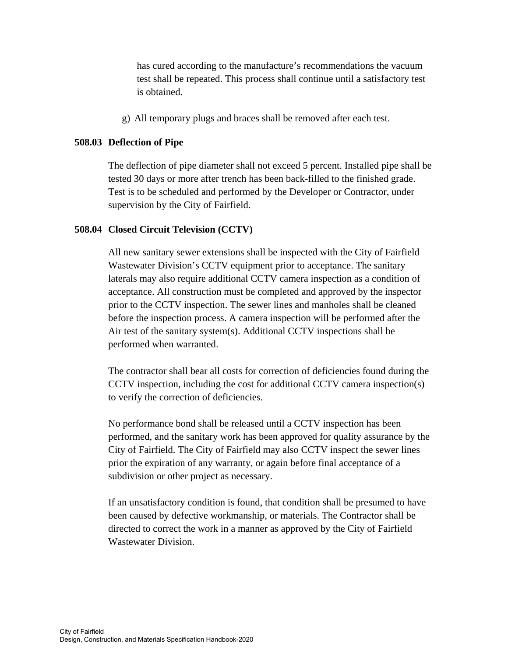has cured according to the manufacture's recommendations the vacuum test shall be repeated. This process shall continue until a satisfactory test is obtained.

g) All temporary plugs and braces shall be removed after each test.

# **508.03 Deflection of Pipe**

The deflection of pipe diameter shall not exceed 5 percent. Installed pipe shall be tested 30 days or more after trench has been back-filled to the finished grade. Test is to be scheduled and performed by the Developer or Contractor, under supervision by the City of Fairfield.

# **508.04 Closed Circuit Television (CCTV)**

All new sanitary sewer extensions shall be inspected with the City of Fairfield Wastewater Division's CCTV equipment prior to acceptance. The sanitary laterals may also require additional CCTV camera inspection as a condition of acceptance. All construction must be completed and approved by the inspector prior to the CCTV inspection. The sewer lines and manholes shall be cleaned before the inspection process. A camera inspection will be performed after the Air test of the sanitary system(s). Additional CCTV inspections shall be performed when warranted.

 The contractor shall bear all costs for correction of deficiencies found during the CCTV inspection, including the cost for additional CCTV camera inspection(s) to verify the correction of deficiencies.

 No performance bond shall be released until a CCTV inspection has been performed, and the sanitary work has been approved for quality assurance by the City of Fairfield. The City of Fairfield may also CCTV inspect the sewer lines prior the expiration of any warranty, or again before final acceptance of a subdivision or other project as necessary.

 If an unsatisfactory condition is found, that condition shall be presumed to have been caused by defective workmanship, or materials. The Contractor shall be directed to correct the work in a manner as approved by the City of Fairfield Wastewater Division.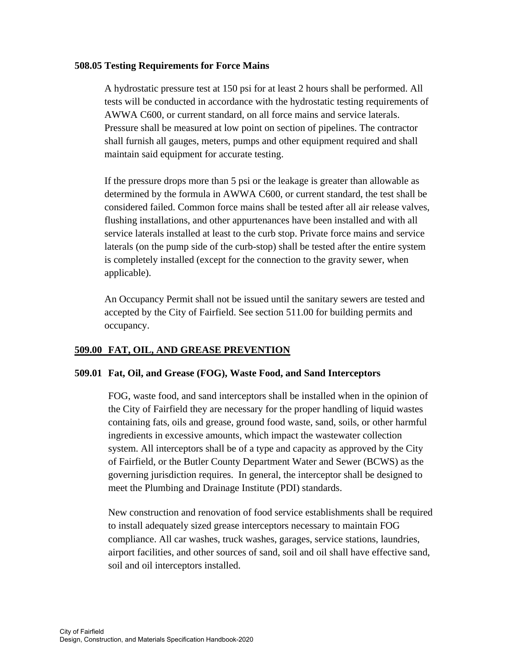## **508.05 Testing Requirements for Force Mains**

A hydrostatic pressure test at 150 psi for at least 2 hours shall be performed. All tests will be conducted in accordance with the hydrostatic testing requirements of AWWA C600, or current standard, on all force mains and service laterals. Pressure shall be measured at low point on section of pipelines. The contractor shall furnish all gauges, meters, pumps and other equipment required and shall maintain said equipment for accurate testing.

 If the pressure drops more than 5 psi or the leakage is greater than allowable as determined by the formula in AWWA C600, or current standard, the test shall be considered failed. Common force mains shall be tested after all air release valves, flushing installations, and other appurtenances have been installed and with all service laterals installed at least to the curb stop. Private force mains and service laterals (on the pump side of the curb-stop) shall be tested after the entire system is completely installed (except for the connection to the gravity sewer, when applicable).

 An Occupancy Permit shall not be issued until the sanitary sewers are tested and accepted by the City of Fairfield. See section 511.00 for building permits and occupancy.

## **509.00 FAT, OIL, AND GREASE PREVENTION**

## **509.01 Fat, Oil, and Grease (FOG), Waste Food, and Sand Interceptors**

FOG, waste food, and sand interceptors shall be installed when in the opinion of the City of Fairfield they are necessary for the proper handling of liquid wastes containing fats, oils and grease, ground food waste, sand, soils, or other harmful ingredients in excessive amounts, which impact the wastewater collection system. All interceptors shall be of a type and capacity as approved by the City of Fairfield, or the Butler County Department Water and Sewer (BCWS) as the governing jurisdiction requires. In general, the interceptor shall be designed to meet the Plumbing and Drainage Institute (PDI) standards.

 New construction and renovation of food service establishments shall be required to install adequately sized grease interceptors necessary to maintain FOG compliance. All car washes, truck washes, garages, service stations, laundries, airport facilities, and other sources of sand, soil and oil shall have effective sand, soil and oil interceptors installed.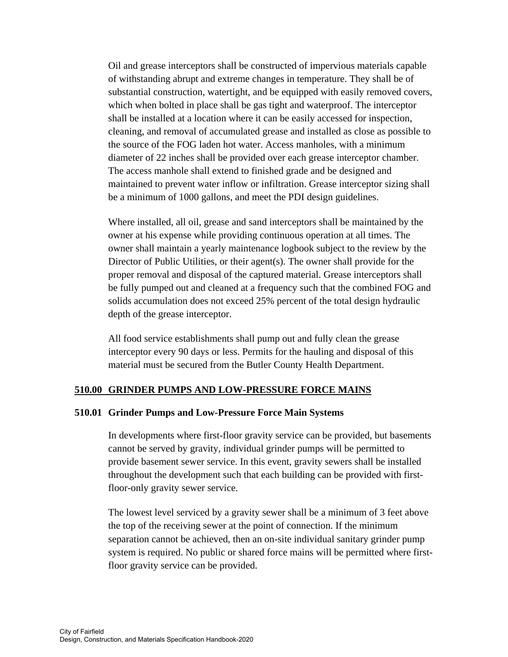Oil and grease interceptors shall be constructed of impervious materials capable of withstanding abrupt and extreme changes in temperature. They shall be of substantial construction, watertight, and be equipped with easily removed covers, which when bolted in place shall be gas tight and waterproof. The interceptor shall be installed at a location where it can be easily accessed for inspection, cleaning, and removal of accumulated grease and installed as close as possible to the source of the FOG laden hot water. Access manholes, with a minimum diameter of 22 inches shall be provided over each grease interceptor chamber. The access manhole shall extend to finished grade and be designed and maintained to prevent water inflow or infiltration. Grease interceptor sizing shall be a minimum of 1000 gallons, and meet the PDI design guidelines.

 Where installed, all oil, grease and sand interceptors shall be maintained by the owner at his expense while providing continuous operation at all times. The owner shall maintain a yearly maintenance logbook subject to the review by the Director of Public Utilities, or their agent(s). The owner shall provide for the proper removal and disposal of the captured material. Grease interceptors shall be fully pumped out and cleaned at a frequency such that the combined FOG and solids accumulation does not exceed 25% percent of the total design hydraulic depth of the grease interceptor.

 All food service establishments shall pump out and fully clean the grease interceptor every 90 days or less. Permits for the hauling and disposal of this material must be secured from the Butler County Health Department.

#### **510.00 GRINDER PUMPS AND LOW-PRESSURE FORCE MAINS**

#### **510.01 Grinder Pumps and Low-Pressure Force Main Systems**

 In developments where first-floor gravity service can be provided, but basements cannot be served by gravity, individual grinder pumps will be permitted to provide basement sewer service. In this event, gravity sewers shall be installed throughout the development such that each building can be provided with firstfloor-only gravity sewer service.

The lowest level serviced by a gravity sewer shall be a minimum of 3 feet above the top of the receiving sewer at the point of connection. If the minimum separation cannot be achieved, then an on-site individual sanitary grinder pump system is required. No public or shared force mains will be permitted where firstfloor gravity service can be provided.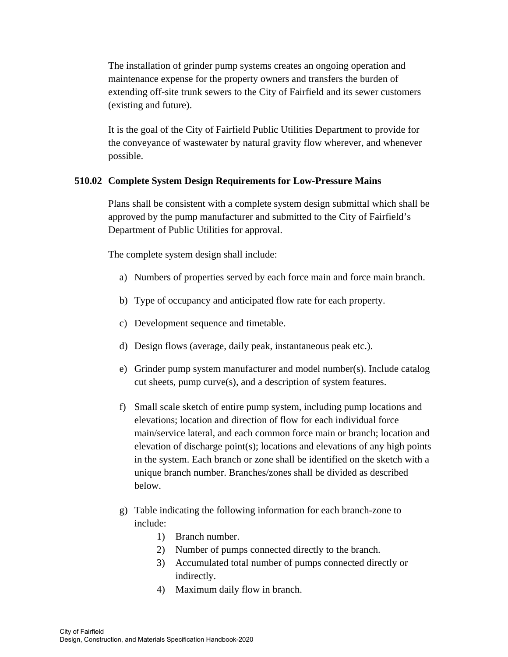The installation of grinder pump systems creates an ongoing operation and maintenance expense for the property owners and transfers the burden of extending off-site trunk sewers to the City of Fairfield and its sewer customers (existing and future).

It is the goal of the City of Fairfield Public Utilities Department to provide for the conveyance of wastewater by natural gravity flow wherever, and whenever possible.

# **510.02 Complete System Design Requirements for Low-Pressure Mains**

Plans shall be consistent with a complete system design submittal which shall be approved by the pump manufacturer and submitted to the City of Fairfield's Department of Public Utilities for approval.

The complete system design shall include:

- a) Numbers of properties served by each force main and force main branch.
- b) Type of occupancy and anticipated flow rate for each property.
- c) Development sequence and timetable.
- d) Design flows (average, daily peak, instantaneous peak etc.).
- e) Grinder pump system manufacturer and model number(s). Include catalog cut sheets, pump curve(s), and a description of system features.
- f) Small scale sketch of entire pump system, including pump locations and elevations; location and direction of flow for each individual force main/service lateral, and each common force main or branch; location and elevation of discharge point(s); locations and elevations of any high points in the system. Each branch or zone shall be identified on the sketch with a unique branch number. Branches/zones shall be divided as described below.
- g) Table indicating the following information for each branch-zone to include:
	- 1) Branch number.
	- 2) Number of pumps connected directly to the branch.
	- 3) Accumulated total number of pumps connected directly or indirectly.
	- 4) Maximum daily flow in branch.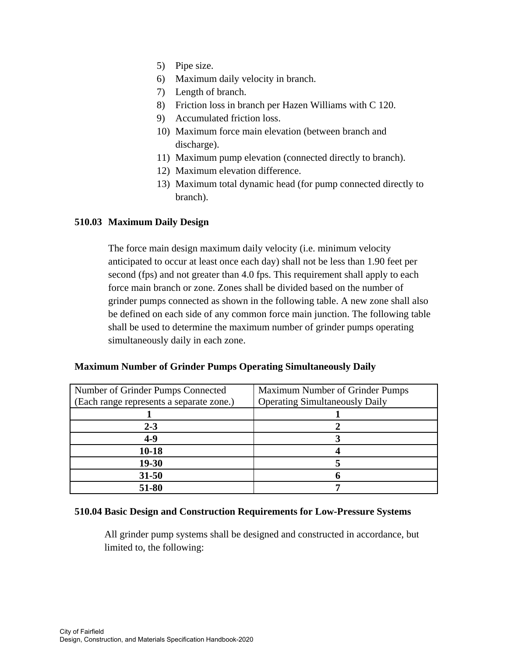- 5) Pipe size.
- 6) Maximum daily velocity in branch.
- 7) Length of branch.
- 8) Friction loss in branch per Hazen Williams with C 120.
- 9) Accumulated friction loss.
- 10) Maximum force main elevation (between branch and discharge).
- 11) Maximum pump elevation (connected directly to branch).
- 12) Maximum elevation difference.
- 13) Maximum total dynamic head (for pump connected directly to branch).

# **510.03 Maximum Daily Design**

The force main design maximum daily velocity (i.e. minimum velocity anticipated to occur at least once each day) shall not be less than 1.90 feet per second (fps) and not greater than 4.0 fps. This requirement shall apply to each force main branch or zone. Zones shall be divided based on the number of grinder pumps connected as shown in the following table. A new zone shall also be defined on each side of any common force main junction. The following table shall be used to determine the maximum number of grinder pumps operating simultaneously daily in each zone.

| Number of Grinder Pumps Connected        | <b>Maximum Number of Grinder Pumps</b> |
|------------------------------------------|----------------------------------------|
| (Each range represents a separate zone.) | <b>Operating Simultaneously Daily</b>  |
|                                          |                                        |
| $2 - 3$                                  |                                        |
| $4-9$                                    |                                        |
| $10 - 18$                                |                                        |
| 19-30                                    |                                        |
| $31 - 50$                                |                                        |
| 51-80                                    |                                        |

# **Maximum Number of Grinder Pumps Operating Simultaneously Daily**

#### **510.04 Basic Design and Construction Requirements for Low-Pressure Systems**

All grinder pump systems shall be designed and constructed in accordance, but limited to, the following: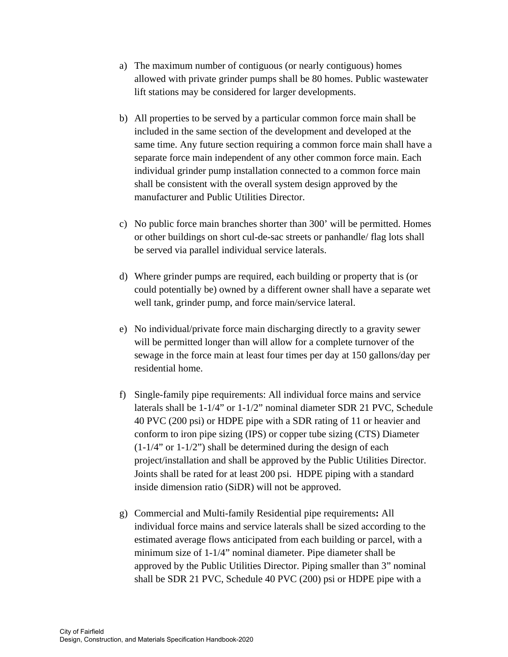- a) The maximum number of contiguous (or nearly contiguous) homes allowed with private grinder pumps shall be 80 homes. Public wastewater lift stations may be considered for larger developments.
- b) All properties to be served by a particular common force main shall be included in the same section of the development and developed at the same time. Any future section requiring a common force main shall have a separate force main independent of any other common force main. Each individual grinder pump installation connected to a common force main shall be consistent with the overall system design approved by the manufacturer and Public Utilities Director.
- c) No public force main branches shorter than 300' will be permitted. Homes or other buildings on short cul-de-sac streets or panhandle/ flag lots shall be served via parallel individual service laterals.
- d) Where grinder pumps are required, each building or property that is (or could potentially be) owned by a different owner shall have a separate wet well tank, grinder pump, and force main/service lateral.
- e) No individual/private force main discharging directly to a gravity sewer will be permitted longer than will allow for a complete turnover of the sewage in the force main at least four times per day at 150 gallons/day per residential home.
- f) Single-family pipe requirements: All individual force mains and service laterals shall be 1-1/4" or 1-1/2" nominal diameter SDR 21 PVC, Schedule 40 PVC (200 psi) or HDPE pipe with a SDR rating of 11 or heavier and conform to iron pipe sizing (IPS) or copper tube sizing (CTS) Diameter  $(1-1/4$ " or  $1-1/2$ ") shall be determined during the design of each project/installation and shall be approved by the Public Utilities Director. Joints shall be rated for at least 200 psi. HDPE piping with a standard inside dimension ratio (SiDR) will not be approved.
- g) Commercial and Multi-family Residential pipe requirements**:** All individual force mains and service laterals shall be sized according to the estimated average flows anticipated from each building or parcel, with a minimum size of 1-1/4" nominal diameter. Pipe diameter shall be approved by the Public Utilities Director. Piping smaller than 3" nominal shall be SDR 21 PVC, Schedule 40 PVC (200) psi or HDPE pipe with a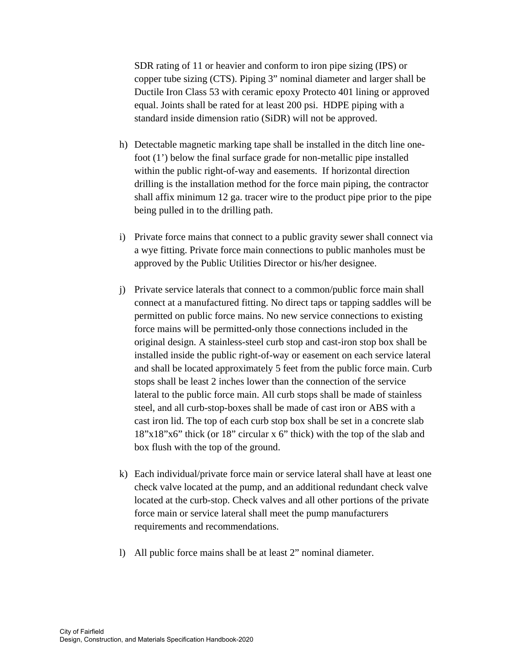SDR rating of 11 or heavier and conform to iron pipe sizing (IPS) or copper tube sizing (CTS). Piping 3" nominal diameter and larger shall be Ductile Iron Class 53 with ceramic epoxy Protecto 401 lining or approved equal. Joints shall be rated for at least 200 psi. HDPE piping with a standard inside dimension ratio (SiDR) will not be approved.

- h) Detectable magnetic marking tape shall be installed in the ditch line onefoot (1') below the final surface grade for non-metallic pipe installed within the public right-of-way and easements. If horizontal direction drilling is the installation method for the force main piping, the contractor shall affix minimum 12 ga. tracer wire to the product pipe prior to the pipe being pulled in to the drilling path.
- i) Private force mains that connect to a public gravity sewer shall connect via a wye fitting. Private force main connections to public manholes must be approved by the Public Utilities Director or his/her designee.
- j) Private service laterals that connect to a common/public force main shall connect at a manufactured fitting. No direct taps or tapping saddles will be permitted on public force mains. No new service connections to existing force mains will be permitted-only those connections included in the original design. A stainless-steel curb stop and cast-iron stop box shall be installed inside the public right-of-way or easement on each service lateral and shall be located approximately 5 feet from the public force main. Curb stops shall be least 2 inches lower than the connection of the service lateral to the public force main. All curb stops shall be made of stainless steel, and all curb-stop-boxes shall be made of cast iron or ABS with a cast iron lid. The top of each curb stop box shall be set in a concrete slab 18"x18"x6" thick (or 18" circular x 6" thick) with the top of the slab and box flush with the top of the ground.
- k) Each individual/private force main or service lateral shall have at least one check valve located at the pump, and an additional redundant check valve located at the curb-stop. Check valves and all other portions of the private force main or service lateral shall meet the pump manufacturers requirements and recommendations.
- l) All public force mains shall be at least 2" nominal diameter.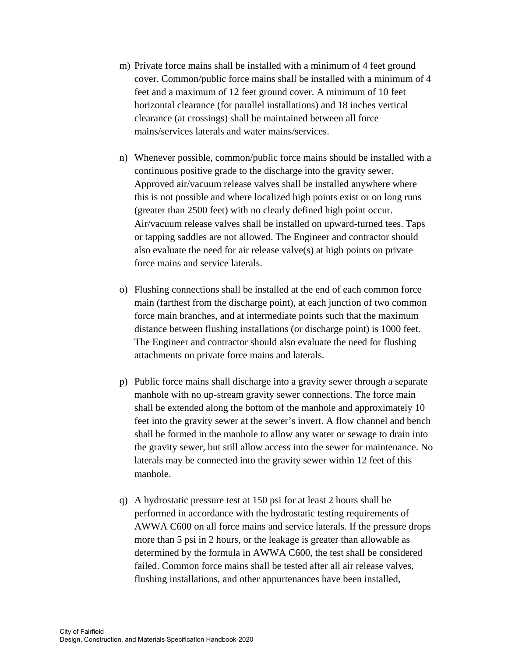- m) Private force mains shall be installed with a minimum of 4 feet ground cover. Common/public force mains shall be installed with a minimum of 4 feet and a maximum of 12 feet ground cover. A minimum of 10 feet horizontal clearance (for parallel installations) and 18 inches vertical clearance (at crossings) shall be maintained between all force mains/services laterals and water mains/services.
- n) Whenever possible, common/public force mains should be installed with a continuous positive grade to the discharge into the gravity sewer. Approved air/vacuum release valves shall be installed anywhere where this is not possible and where localized high points exist or on long runs (greater than 2500 feet) with no clearly defined high point occur. Air/vacuum release valves shall be installed on upward-turned tees. Taps or tapping saddles are not allowed. The Engineer and contractor should also evaluate the need for air release valve(s) at high points on private force mains and service laterals.
- o) Flushing connections shall be installed at the end of each common force main (farthest from the discharge point), at each junction of two common force main branches, and at intermediate points such that the maximum distance between flushing installations (or discharge point) is 1000 feet. The Engineer and contractor should also evaluate the need for flushing attachments on private force mains and laterals.
- p) Public force mains shall discharge into a gravity sewer through a separate manhole with no up-stream gravity sewer connections. The force main shall be extended along the bottom of the manhole and approximately 10 feet into the gravity sewer at the sewer's invert. A flow channel and bench shall be formed in the manhole to allow any water or sewage to drain into the gravity sewer, but still allow access into the sewer for maintenance. No laterals may be connected into the gravity sewer within 12 feet of this manhole.
- q) A hydrostatic pressure test at 150 psi for at least 2 hours shall be performed in accordance with the hydrostatic testing requirements of AWWA C600 on all force mains and service laterals. If the pressure drops more than 5 psi in 2 hours, or the leakage is greater than allowable as determined by the formula in AWWA C600, the test shall be considered failed. Common force mains shall be tested after all air release valves, flushing installations, and other appurtenances have been installed,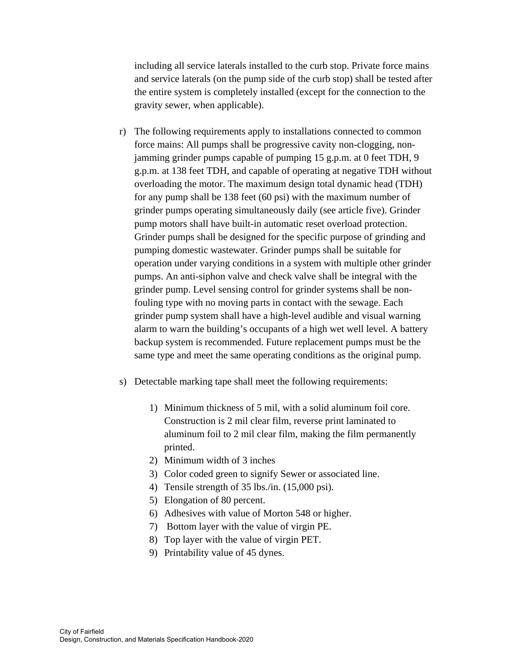including all service laterals installed to the curb stop. Private force mains and service laterals (on the pump side of the curb stop) shall be tested after the entire system is completely installed (except for the connection to the gravity sewer, when applicable).

- r) The following requirements apply to installations connected to common force mains: All pumps shall be progressive cavity non-clogging, nonjamming grinder pumps capable of pumping 15 g.p.m. at 0 feet TDH, 9 g.p.m. at 138 feet TDH, and capable of operating at negative TDH without overloading the motor. The maximum design total dynamic head (TDH) for any pump shall be 138 feet (60 psi) with the maximum number of grinder pumps operating simultaneously daily (see article five). Grinder pump motors shall have built-in automatic reset overload protection. Grinder pumps shall be designed for the specific purpose of grinding and pumping domestic wastewater. Grinder pumps shall be suitable for operation under varying conditions in a system with multiple other grinder pumps. An anti-siphon valve and check valve shall be integral with the grinder pump. Level sensing control for grinder systems shall be nonfouling type with no moving parts in contact with the sewage. Each grinder pump system shall have a high-level audible and visual warning alarm to warn the building's occupants of a high wet well level. A battery backup system is recommended. Future replacement pumps must be the same type and meet the same operating conditions as the original pump.
- s) Detectable marking tape shall meet the following requirements:
	- 1) Minimum thickness of 5 mil, with a solid aluminum foil core. Construction is 2 mil clear film, reverse print laminated to aluminum foil to 2 mil clear film, making the film permanently printed.
	- 2) Minimum width of 3 inches
	- 3) Color coded green to signify Sewer or associated line.
	- 4) Tensile strength of 35 lbs./in. (15,000 psi).
	- 5) Elongation of 80 percent.
	- 6) Adhesives with value of Morton 548 or higher.
	- 7) Bottom layer with the value of virgin PE.
	- 8) Top layer with the value of virgin PET.
	- 9) Printability value of 45 dynes.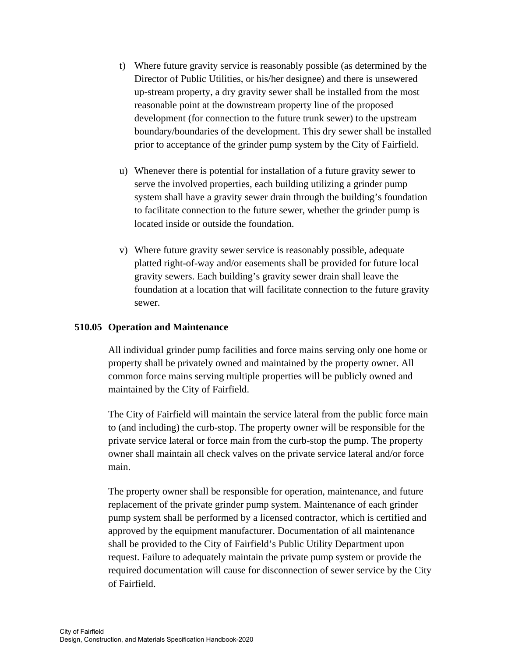- t) Where future gravity service is reasonably possible (as determined by the Director of Public Utilities, or his/her designee) and there is unsewered up-stream property, a dry gravity sewer shall be installed from the most reasonable point at the downstream property line of the proposed development (for connection to the future trunk sewer) to the upstream boundary/boundaries of the development. This dry sewer shall be installed prior to acceptance of the grinder pump system by the City of Fairfield.
- u) Whenever there is potential for installation of a future gravity sewer to serve the involved properties, each building utilizing a grinder pump system shall have a gravity sewer drain through the building's foundation to facilitate connection to the future sewer, whether the grinder pump is located inside or outside the foundation.
- v) Where future gravity sewer service is reasonably possible, adequate platted right-of-way and/or easements shall be provided for future local gravity sewers. Each building's gravity sewer drain shall leave the foundation at a location that will facilitate connection to the future gravity sewer.

# **510.05 Operation and Maintenance**

All individual grinder pump facilities and force mains serving only one home or property shall be privately owned and maintained by the property owner. All common force mains serving multiple properties will be publicly owned and maintained by the City of Fairfield.

 The City of Fairfield will maintain the service lateral from the public force main to (and including) the curb-stop. The property owner will be responsible for the private service lateral or force main from the curb-stop the pump. The property owner shall maintain all check valves on the private service lateral and/or force main.

 The property owner shall be responsible for operation, maintenance, and future replacement of the private grinder pump system. Maintenance of each grinder pump system shall be performed by a licensed contractor, which is certified and approved by the equipment manufacturer. Documentation of all maintenance shall be provided to the City of Fairfield's Public Utility Department upon request. Failure to adequately maintain the private pump system or provide the required documentation will cause for disconnection of sewer service by the City of Fairfield.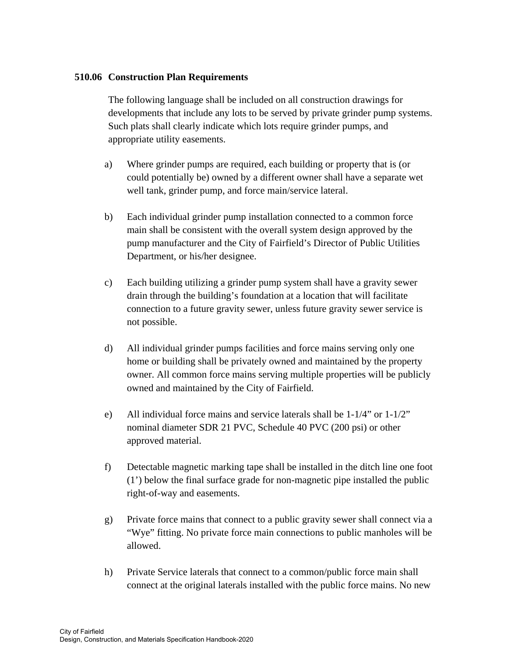## **510.06 Construction Plan Requirements**

The following language shall be included on all construction drawings for developments that include any lots to be served by private grinder pump systems. Such plats shall clearly indicate which lots require grinder pumps, and appropriate utility easements.

- a) Where grinder pumps are required, each building or property that is (or could potentially be) owned by a different owner shall have a separate wet well tank, grinder pump, and force main/service lateral.
- b) Each individual grinder pump installation connected to a common force main shall be consistent with the overall system design approved by the pump manufacturer and the City of Fairfield's Director of Public Utilities Department, or his/her designee.
- c) Each building utilizing a grinder pump system shall have a gravity sewer drain through the building's foundation at a location that will facilitate connection to a future gravity sewer, unless future gravity sewer service is not possible.
- d) All individual grinder pumps facilities and force mains serving only one home or building shall be privately owned and maintained by the property owner. All common force mains serving multiple properties will be publicly owned and maintained by the City of Fairfield.
- e) All individual force mains and service laterals shall be  $1-1/4$ " or  $1-1/2$ " nominal diameter SDR 21 PVC, Schedule 40 PVC (200 psi) or other approved material.
- f) Detectable magnetic marking tape shall be installed in the ditch line one foot (1') below the final surface grade for non-magnetic pipe installed the public right-of-way and easements.
- g) Private force mains that connect to a public gravity sewer shall connect via a "Wye" fitting. No private force main connections to public manholes will be allowed.
- h) Private Service laterals that connect to a common/public force main shall connect at the original laterals installed with the public force mains. No new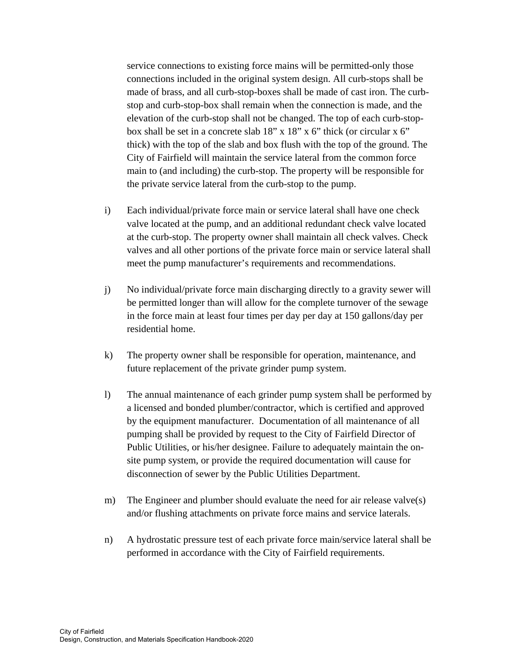service connections to existing force mains will be permitted-only those connections included in the original system design. All curb-stops shall be made of brass, and all curb-stop-boxes shall be made of cast iron. The curbstop and curb-stop-box shall remain when the connection is made, and the elevation of the curb-stop shall not be changed. The top of each curb-stopbox shall be set in a concrete slab 18" x 18" x 6" thick (or circular x 6" thick) with the top of the slab and box flush with the top of the ground. The City of Fairfield will maintain the service lateral from the common force main to (and including) the curb-stop. The property will be responsible for the private service lateral from the curb-stop to the pump.

- i) Each individual/private force main or service lateral shall have one check valve located at the pump, and an additional redundant check valve located at the curb-stop. The property owner shall maintain all check valves. Check valves and all other portions of the private force main or service lateral shall meet the pump manufacturer's requirements and recommendations.
- j) No individual/private force main discharging directly to a gravity sewer will be permitted longer than will allow for the complete turnover of the sewage in the force main at least four times per day per day at 150 gallons/day per residential home.
- k) The property owner shall be responsible for operation, maintenance, and future replacement of the private grinder pump system.
- l) The annual maintenance of each grinder pump system shall be performed by a licensed and bonded plumber/contractor, which is certified and approved by the equipment manufacturer. Documentation of all maintenance of all pumping shall be provided by request to the City of Fairfield Director of Public Utilities, or his/her designee. Failure to adequately maintain the onsite pump system, or provide the required documentation will cause for disconnection of sewer by the Public Utilities Department.
- m) The Engineer and plumber should evaluate the need for air release valve(s) and/or flushing attachments on private force mains and service laterals.
- n) A hydrostatic pressure test of each private force main/service lateral shall be performed in accordance with the City of Fairfield requirements.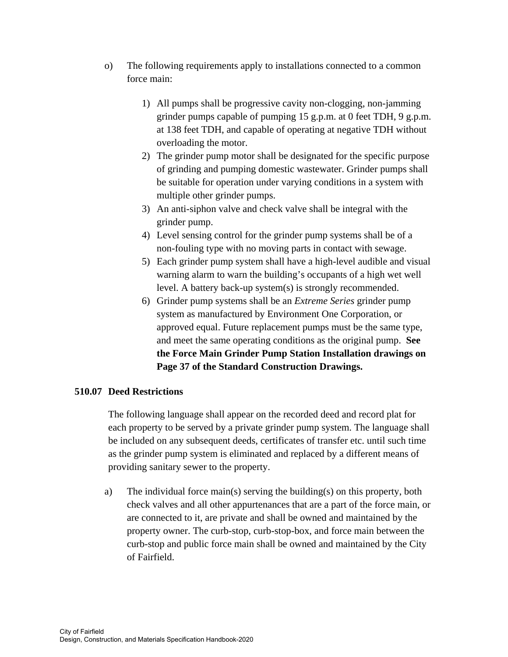- o) The following requirements apply to installations connected to a common force main:
	- 1) All pumps shall be progressive cavity non-clogging, non-jamming grinder pumps capable of pumping 15 g.p.m. at 0 feet TDH, 9 g.p.m. at 138 feet TDH, and capable of operating at negative TDH without overloading the motor.
	- 2) The grinder pump motor shall be designated for the specific purpose of grinding and pumping domestic wastewater. Grinder pumps shall be suitable for operation under varying conditions in a system with multiple other grinder pumps.
	- 3) An anti-siphon valve and check valve shall be integral with the grinder pump.
	- 4) Level sensing control for the grinder pump systems shall be of a non-fouling type with no moving parts in contact with sewage.
	- 5) Each grinder pump system shall have a high-level audible and visual warning alarm to warn the building's occupants of a high wet well level. A battery back-up system(s) is strongly recommended.
	- 6) Grinder pump systems shall be an *Extreme Series* grinder pump system as manufactured by Environment One Corporation, or approved equal. Future replacement pumps must be the same type, and meet the same operating conditions as the original pump. **See the Force Main Grinder Pump Station Installation drawings on Page 37 of the Standard Construction Drawings.**

# **510.07 Deed Restrictions**

The following language shall appear on the recorded deed and record plat for each property to be served by a private grinder pump system. The language shall be included on any subsequent deeds, certificates of transfer etc. until such time as the grinder pump system is eliminated and replaced by a different means of providing sanitary sewer to the property.

a) The individual force main(s) serving the building(s) on this property, both check valves and all other appurtenances that are a part of the force main, or are connected to it, are private and shall be owned and maintained by the property owner. The curb-stop, curb-stop-box, and force main between the curb-stop and public force main shall be owned and maintained by the City of Fairfield.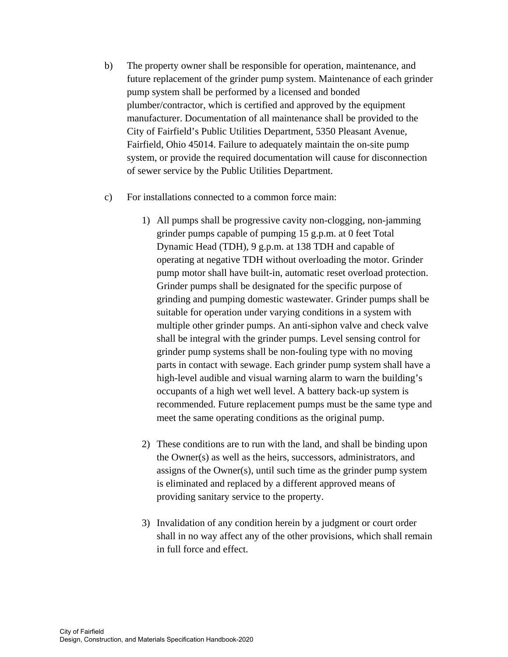- b) The property owner shall be responsible for operation, maintenance, and future replacement of the grinder pump system. Maintenance of each grinder pump system shall be performed by a licensed and bonded plumber/contractor, which is certified and approved by the equipment manufacturer. Documentation of all maintenance shall be provided to the City of Fairfield's Public Utilities Department, 5350 Pleasant Avenue, Fairfield, Ohio 45014. Failure to adequately maintain the on-site pump system, or provide the required documentation will cause for disconnection of sewer service by the Public Utilities Department.
- c) For installations connected to a common force main:
	- 1) All pumps shall be progressive cavity non-clogging, non-jamming grinder pumps capable of pumping 15 g.p.m. at 0 feet Total Dynamic Head (TDH), 9 g.p.m. at 138 TDH and capable of operating at negative TDH without overloading the motor. Grinder pump motor shall have built-in, automatic reset overload protection. Grinder pumps shall be designated for the specific purpose of grinding and pumping domestic wastewater. Grinder pumps shall be suitable for operation under varying conditions in a system with multiple other grinder pumps. An anti-siphon valve and check valve shall be integral with the grinder pumps. Level sensing control for grinder pump systems shall be non-fouling type with no moving parts in contact with sewage. Each grinder pump system shall have a high-level audible and visual warning alarm to warn the building's occupants of a high wet well level. A battery back-up system is recommended. Future replacement pumps must be the same type and meet the same operating conditions as the original pump.
	- 2) These conditions are to run with the land, and shall be binding upon the Owner(s) as well as the heirs, successors, administrators, and assigns of the Owner(s), until such time as the grinder pump system is eliminated and replaced by a different approved means of providing sanitary service to the property.
	- 3) Invalidation of any condition herein by a judgment or court order shall in no way affect any of the other provisions, which shall remain in full force and effect.